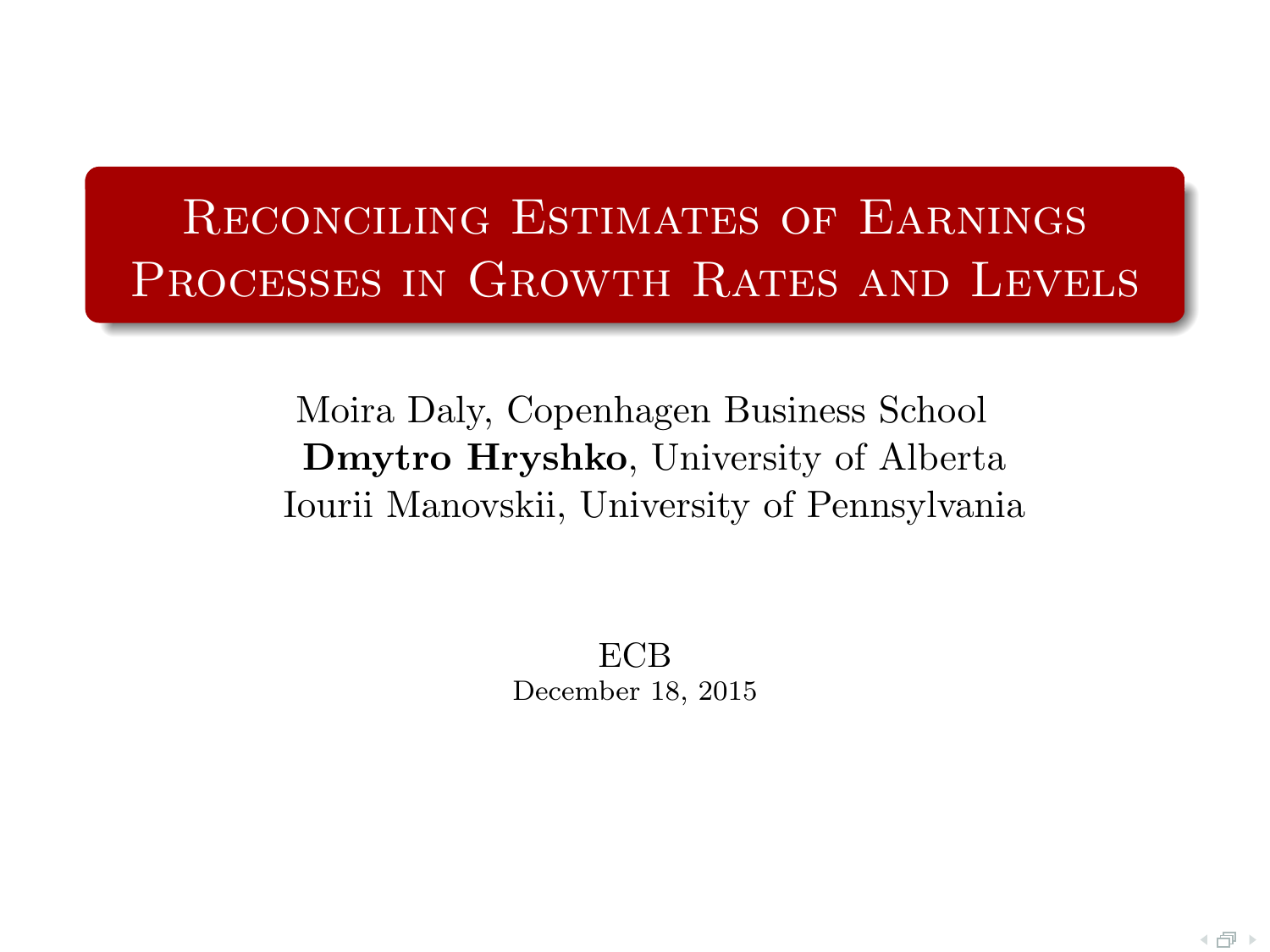# Reconciling Estimates of Earnings PROCESSES IN GROWTH RATES AND LEVELS

Moira Daly, Copenhagen Business School Dmytro Hryshko, University of Alberta Iourii Manovskii, University of Pennsylvania

> ECB December 18, 2015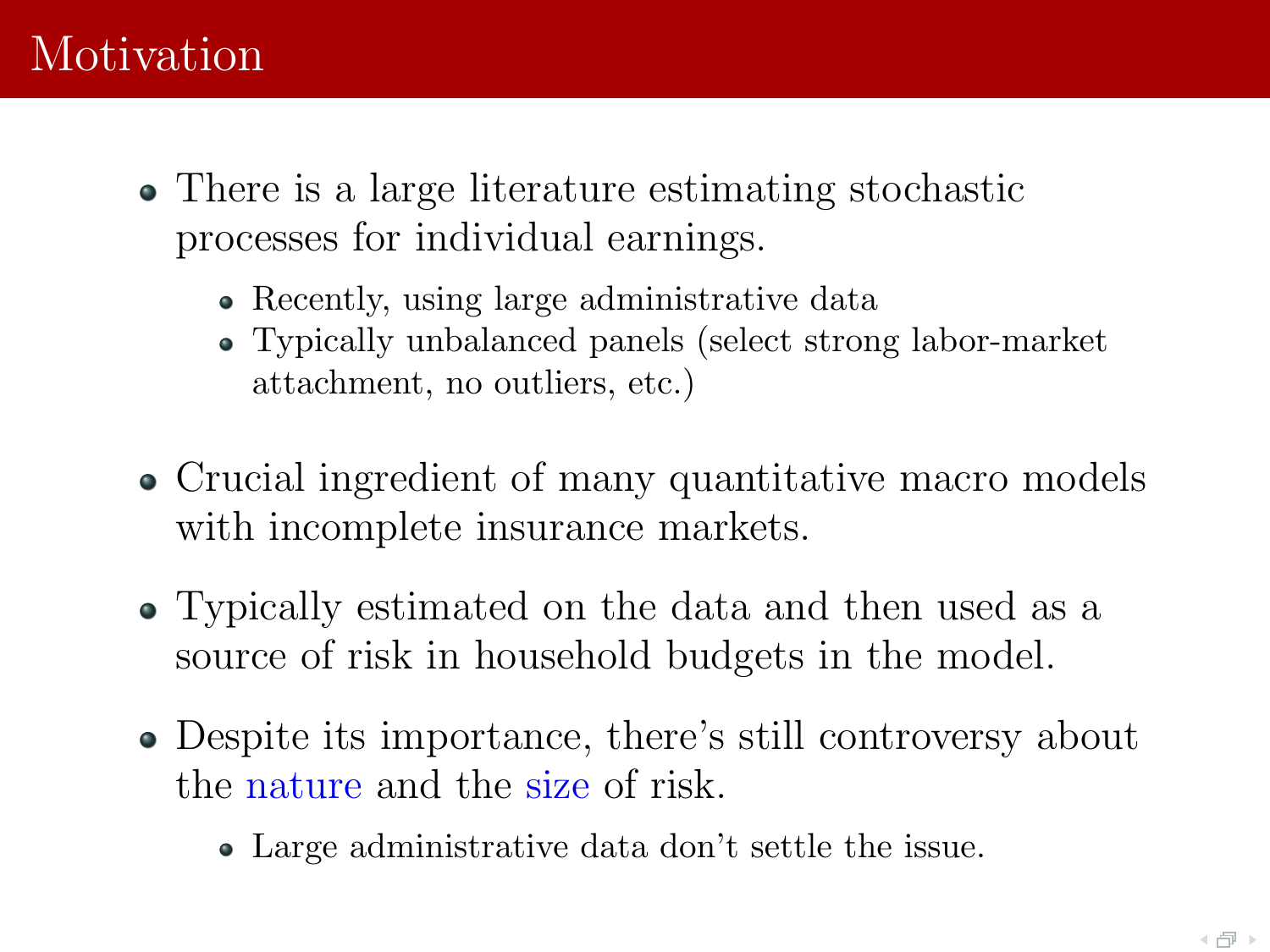# Motivation

- There is a large literature estimating stochastic processes for individual earnings.
	- Recently, using large administrative data
	- Typically unbalanced panels (select strong labor-market attachment, no outliers, etc.)
- Crucial ingredient of many quantitative macro models with incomplete insurance markets.
- Typically estimated on the data and then used as a source of risk in household budgets in the model.
- Despite its importance, there's still controversy about the nature and the size of risk.
	- Large administrative data don't settle the issue.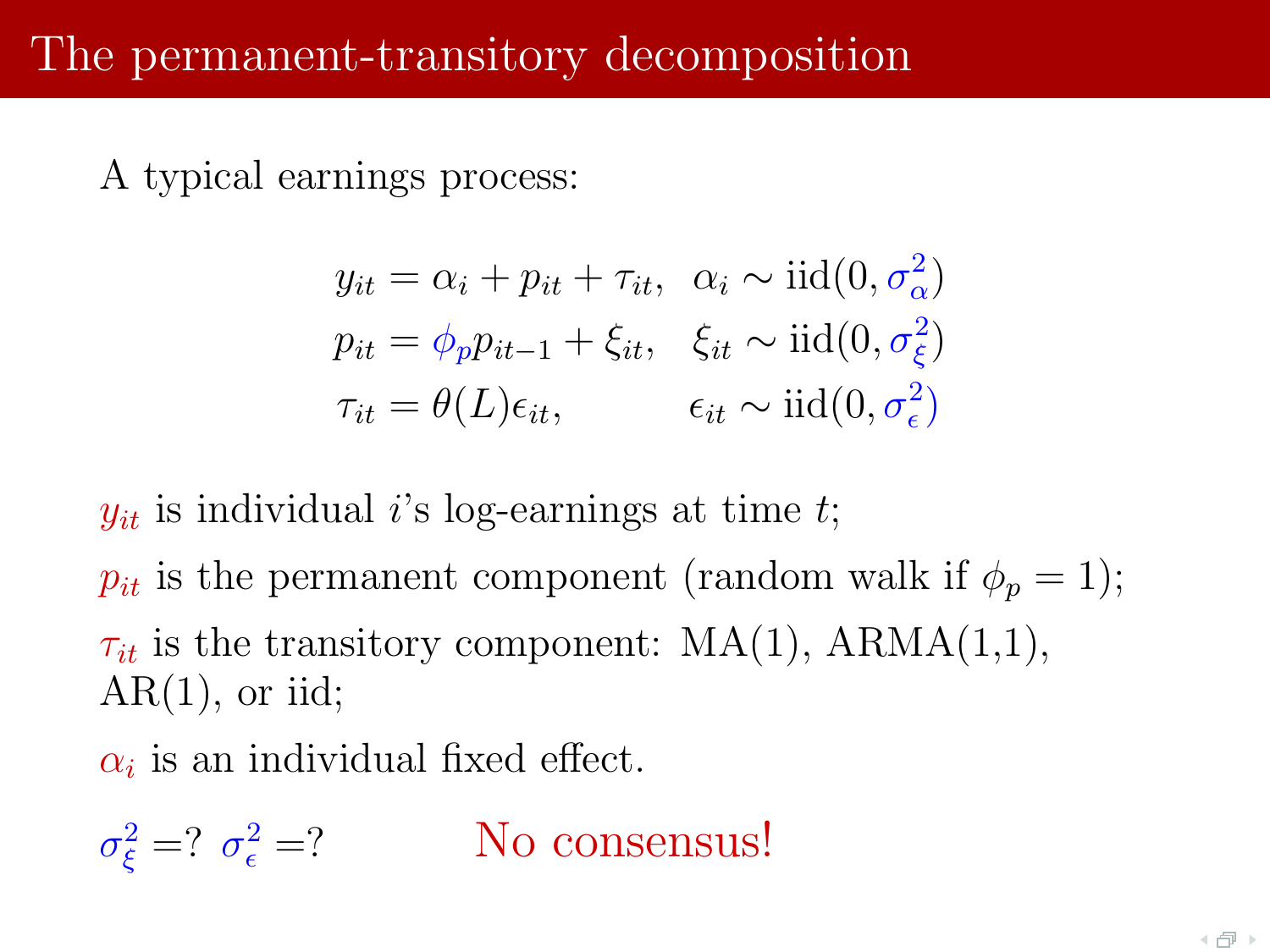A typical earnings process:

$$
y_{it} = \alpha_i + p_{it} + \tau_{it}, \quad \alpha_i \sim \text{iid}(0, \sigma_{\alpha}^2)
$$
  
\n
$$
p_{it} = \phi_p p_{it-1} + \xi_{it}, \quad \xi_{it} \sim \text{iid}(0, \sigma_{\xi}^2)
$$
  
\n
$$
\tau_{it} = \theta(L)\epsilon_{it}, \qquad \epsilon_{it} \sim \text{iid}(0, \sigma_{\epsilon}^2)
$$

 $y_{it}$  is individual i's log-earnings at time t;

 $p_{it}$  is the permanent component (random walk if  $\phi_p = 1$ );  $\tau_{it}$  is the transitory component: MA(1), ARMA(1,1),  $AR(1)$ , or iid;

 $\alpha_i$  is an individual fixed effect.

 $\sigma_{\xi}^2 = ? \sigma_{\epsilon}^2$ No consensus!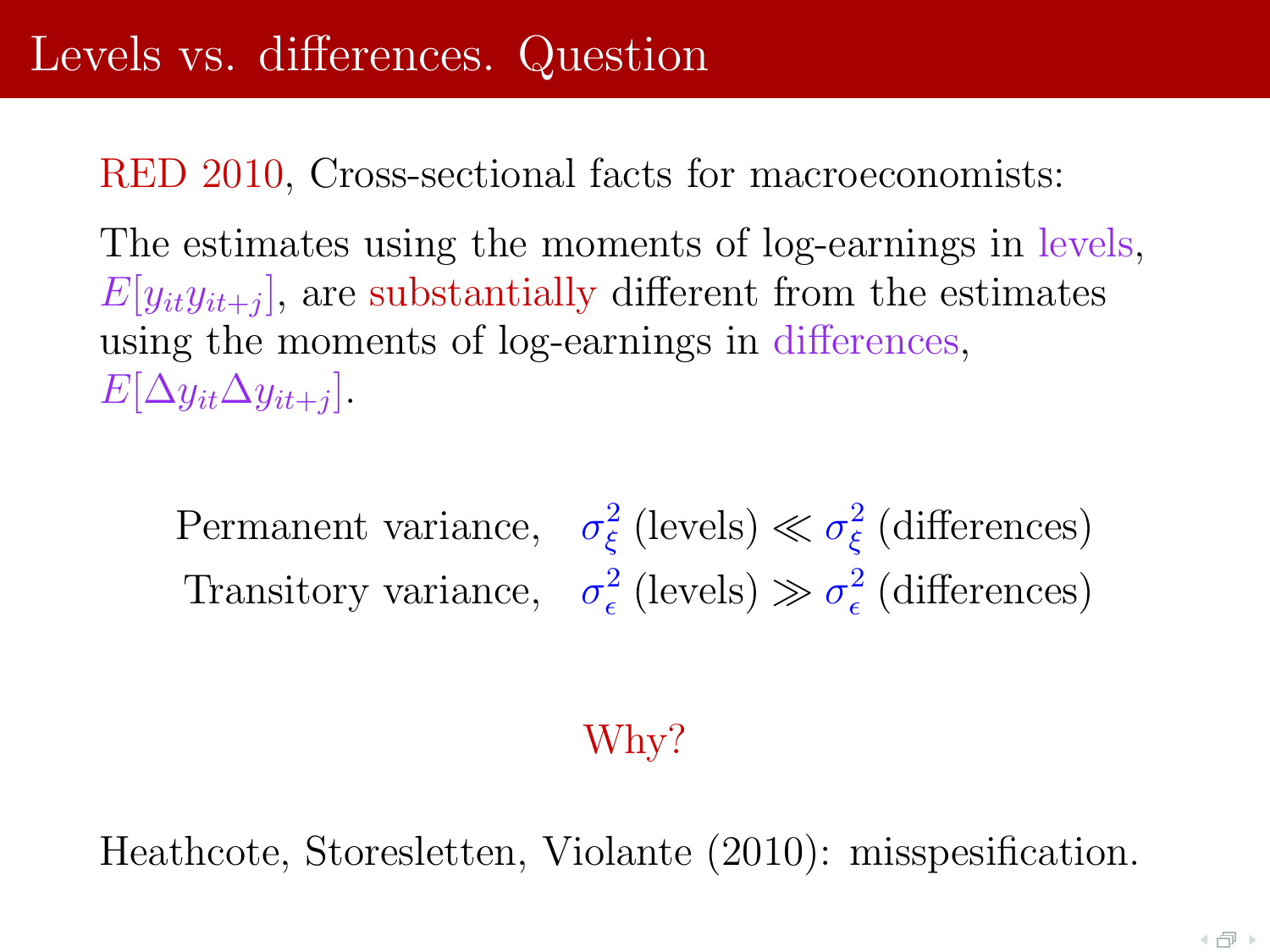RED 2010, Cross-sectional facts for macroeconomists:

The estimates using the moments of log-earnings in levels,  $E[y_{it}y_{it+j}]$ , are substantially different from the estimates using the moments of log-earnings in differences,  $E[\Delta y_{it} \Delta y_{it+j}].$ 

Permanent variance,  $\sigma_{\xi}^{2}$  (levels)  $\ll \sigma_{\xi}^{2}$  (differences) Transitory variance,  $\sigma_{\epsilon}^2$  (levels)  $\gg \sigma_{\epsilon}^2$  (differences)

#### Why?

Heathcote, Storesletten, Violante (2010): misspesification.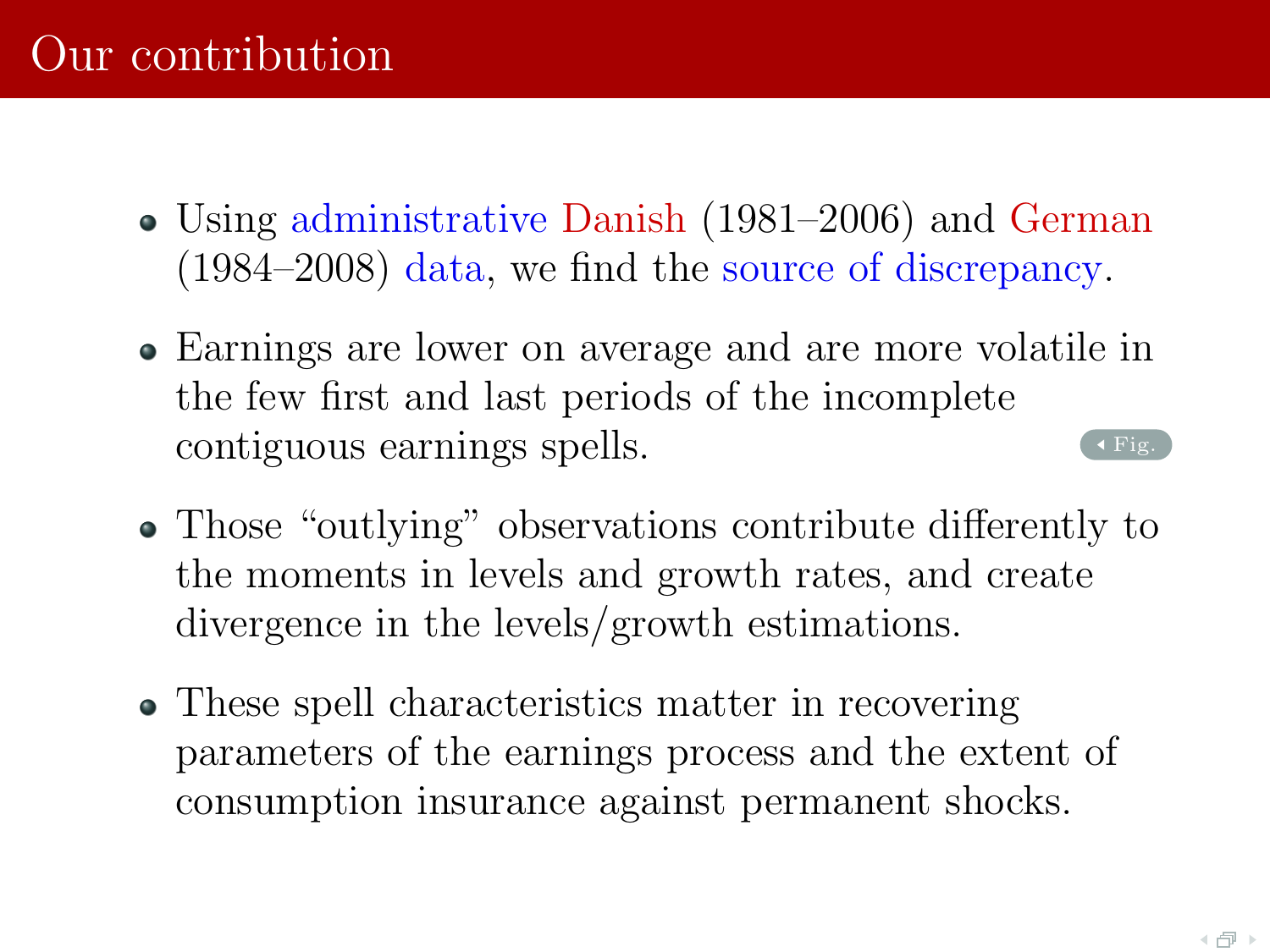- <span id="page-4-0"></span>Using administrative Danish (1981–2006) and German (1984–2008) data, we find the source of discrepancy.
- Earnings are lower on average and are more volatile in the few first and last periods of the incomplete contiguous earnings spells.  $\left($  [Fig.](#page-5-0)
- Those "outlying" observations contribute differently to the moments in levels and growth rates, and create divergence in the levels/growth estimations.
- These spell characteristics matter in recovering parameters of the earnings process and the extent of consumption insurance against permanent shocks.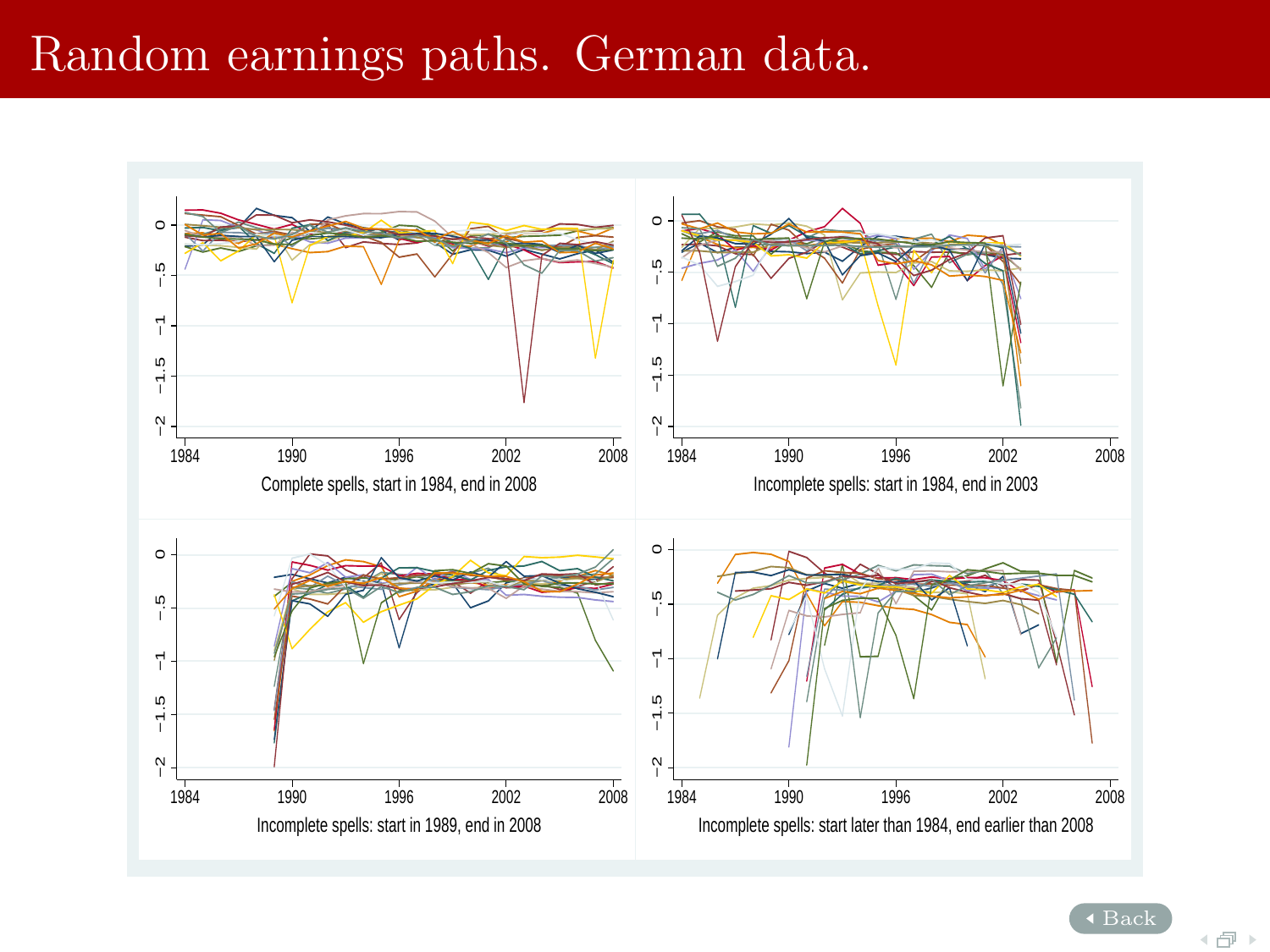#### Random earnings paths. German data.

<span id="page-5-0"></span>

[Back](#page-4-0)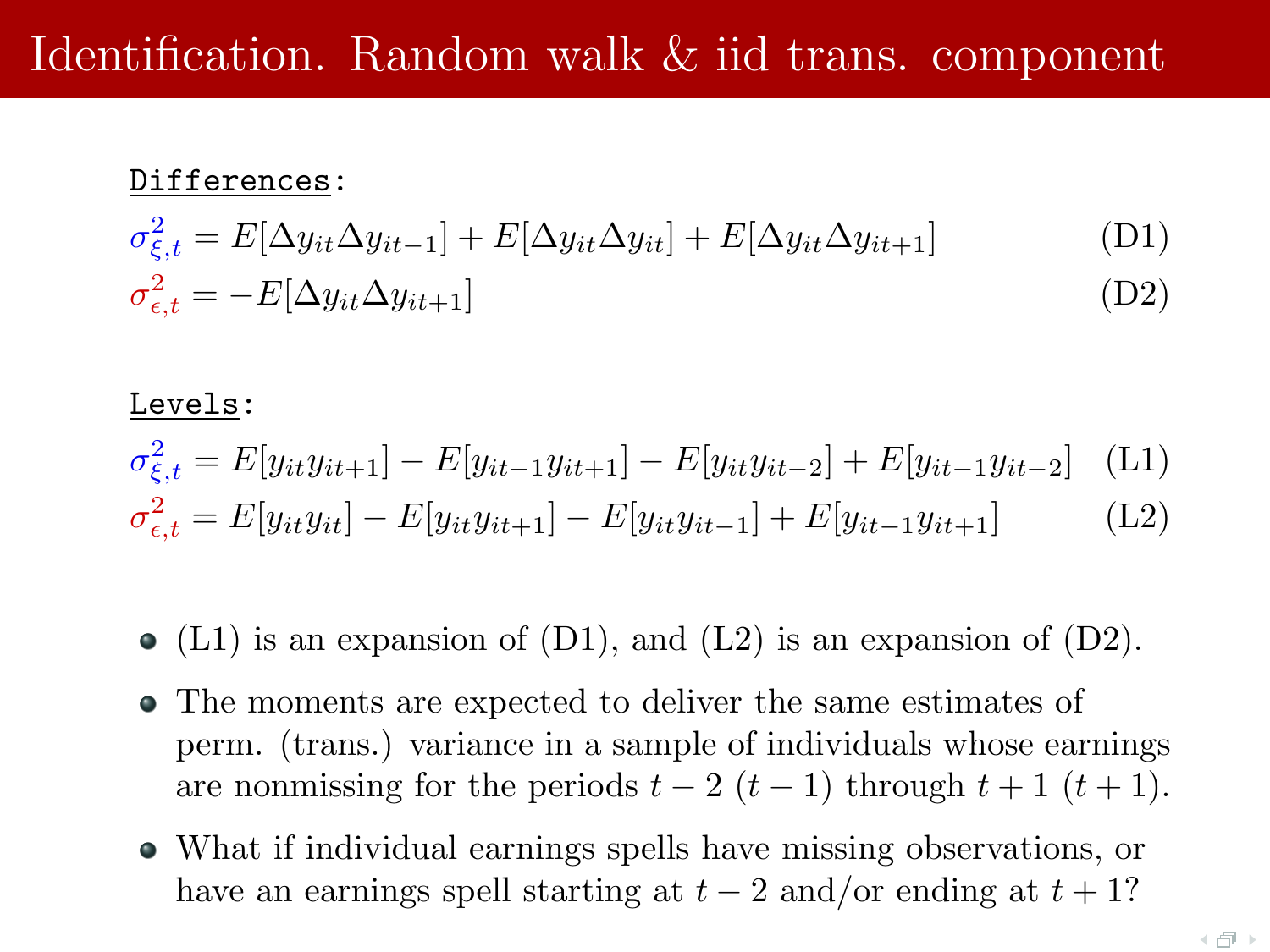# Identification. Random walk & iid trans. component

#### Differences:

$$
\sigma_{\xi,t}^2 = E[\Delta y_{it}\Delta y_{it-1}] + E[\Delta y_{it}\Delta y_{it}] + E[\Delta y_{it}\Delta y_{it+1}]
$$
\n(D1)\n
$$
\sigma_{\epsilon,t}^2 = -E[\Delta y_{it}\Delta y_{it+1}]
$$
\n(D2)

#### Levels:

$$
\sigma_{\xi,t}^2 = E[y_{it}y_{it+1}] - E[y_{it-1}y_{it+1}] - E[y_{it}y_{it-2}] + E[y_{it-1}y_{it-2}] \tag{L1}
$$

$$
\sigma_{\epsilon,t}^2 = E[y_{it}y_{it}] - E[y_{it}y_{it+1}] - E[y_{it}y_{it-1}] + E[y_{it-1}y_{it+1}] \tag{L2}
$$

- $\bullet$  (L1) is an expansion of (D1), and (L2) is an expansion of (D2).
- The moments are expected to deliver the same estimates of perm. (trans.) variance in a sample of individuals whose earnings are nonmissing for the periods  $t - 2(t - 1)$  through  $t + 1(t + 1)$ .
- What if individual earnings spells have missing observations, or have an earnings spell starting at  $t-2$  and/or ending at  $t+1$ ?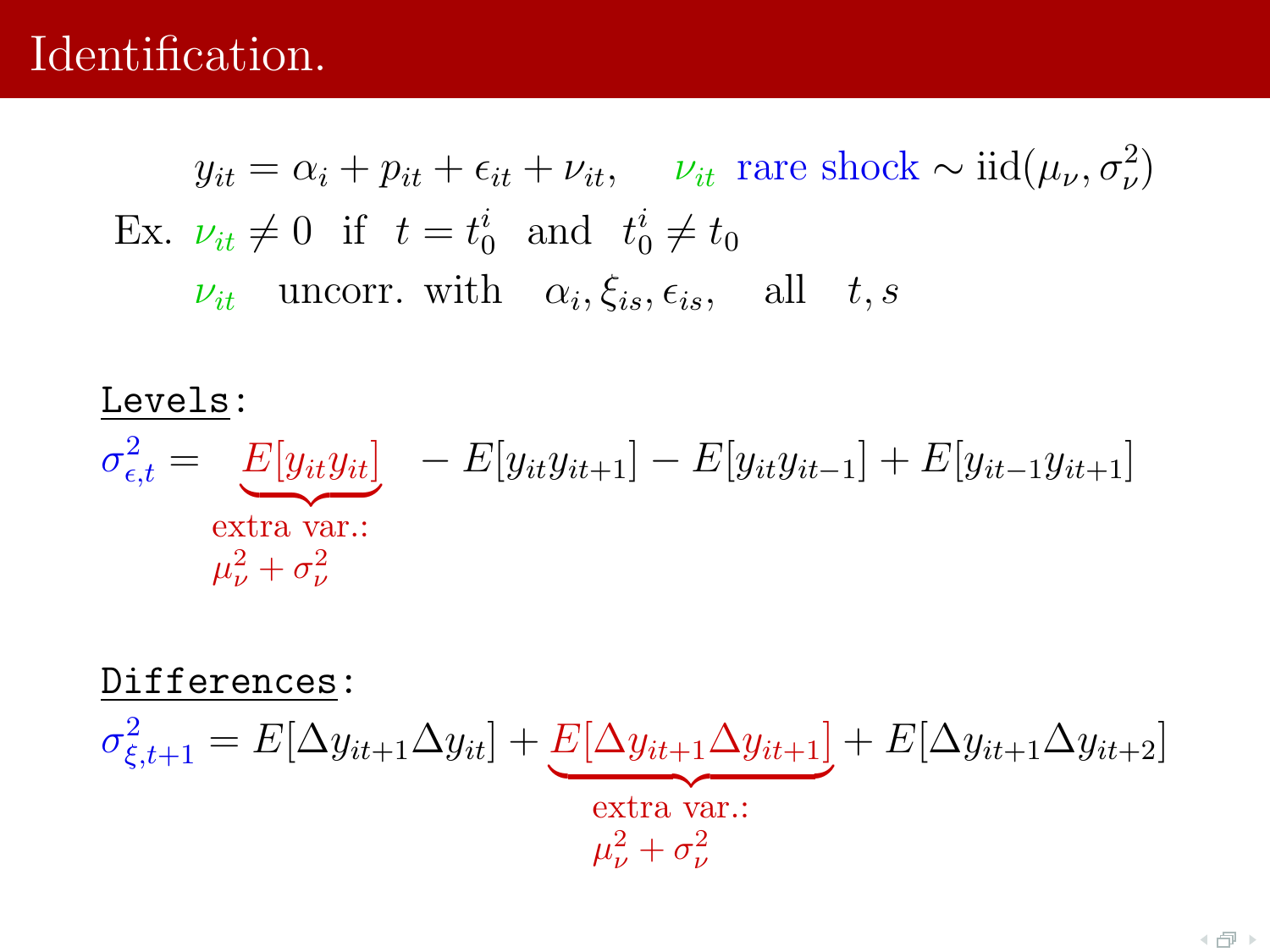### Identification.

 $y_{it} = \alpha_i + p_{it} + \epsilon_{it} + \nu_{it}, \quad \nu_{it}$  rare shock ~  $\text{iid}(\mu_\nu, \sigma_\nu^2)$ Ex.  $\nu_{it} \neq 0$  if  $t = t_0^i$  and  $t_0^i \neq t_0$  $\nu_{it}$  uncorr. with  $\alpha_i, \xi_{is}, \epsilon_{is},$  all  $t, s$ 

# Levels:  $\sigma_{\epsilon,t}^2 = \begin{bmatrix} E[y_{it}y_{it}] & -E[y_{it}y_{it+1}] - E[y_{it}y_{it-1}] + E[y_{it-1}y_{it+1}] \end{bmatrix}$ extra var.:  $\mu_\nu^2+\sigma_\nu^2$

Differences:

$$
\sigma_{\xi,t+1}^2 = E[\Delta y_{it+1} \Delta y_{it}] + \underbrace{E[\Delta y_{it+1} \Delta y_{it+1}]}_{\text{extra var.}:} + E[\Delta y_{it+1} \Delta y_{it+2}]
$$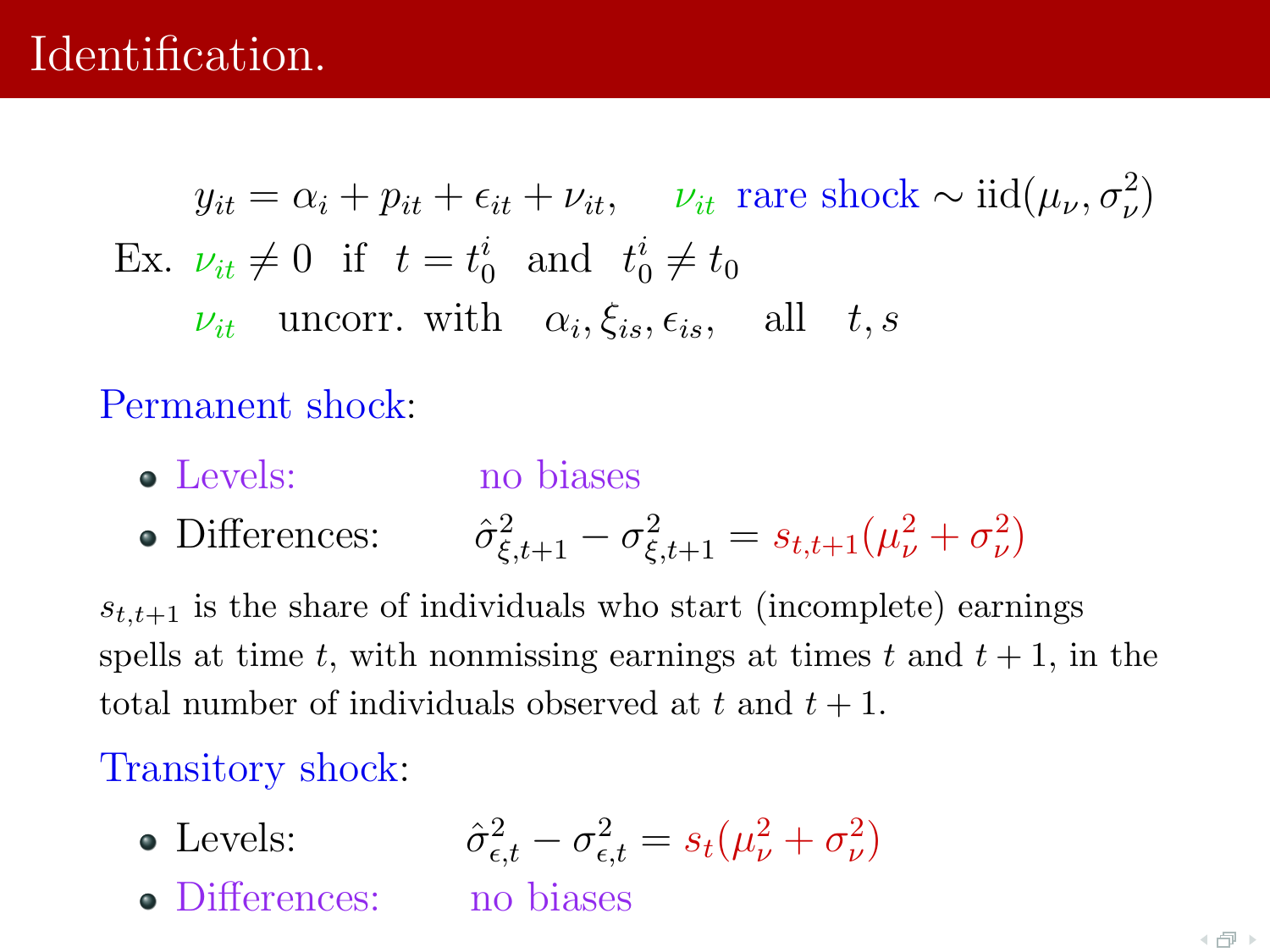# Identification.

 $y_{it} = \alpha_i + p_{it} + \epsilon_{it} + \nu_{it}, \quad \nu_{it}$  rare shock ~  $\text{iid}(\mu_\nu, \sigma_\nu^2)$ Ex.  $\nu_{it} \neq 0$  if  $t = t_0^i$  and  $t_0^i \neq t_0$  $\nu_{it}$  uncorr. with  $\alpha_i, \xi_{is}, \epsilon_{is},$  all  $t, s$ 

Permanent shock:

- Levels: no biases
- Differences:  $\frac{2}{\xi,t+1} - \sigma_{\xi,t+1}^2 = s_{t,t+1}(\mu_\nu^2 + \sigma_\nu^2)$

 $s_{t,t+1}$  is the share of individuals who start (incomplete) earnings spells at time t, with nonmissing earnings at times t and  $t + 1$ , in the total number of individuals observed at t and  $t + 1$ .

Transitory shock:

• Levels:  $\sigma_{\epsilon,t}^2 - \sigma_{\epsilon,t}^2 = s_t(\mu_{\nu}^2 + \sigma_{\nu}^2)$ • Differences: no biases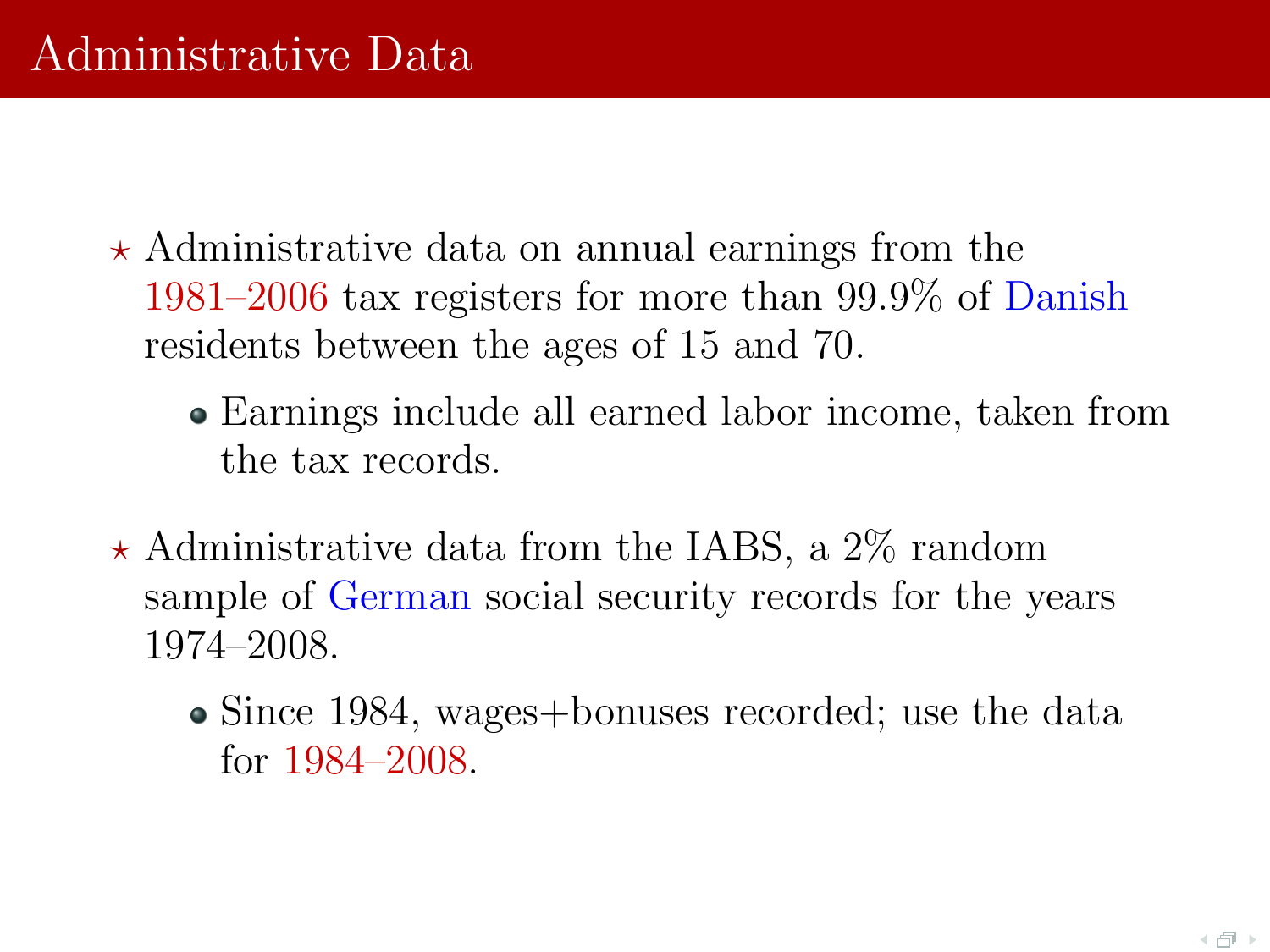- $\star$  Administrative data on annual earnings from the 1981–2006 tax registers for more than 99.9% of Danish residents between the ages of 15 and 70.
	- Earnings include all earned labor income, taken from the tax records.
- $\star$  Administrative data from the IABS, a 2\% random sample of German social security records for the years 1974–2008.
	- Since 1984, wages+bonuses recorded; use the data for 1984–2008.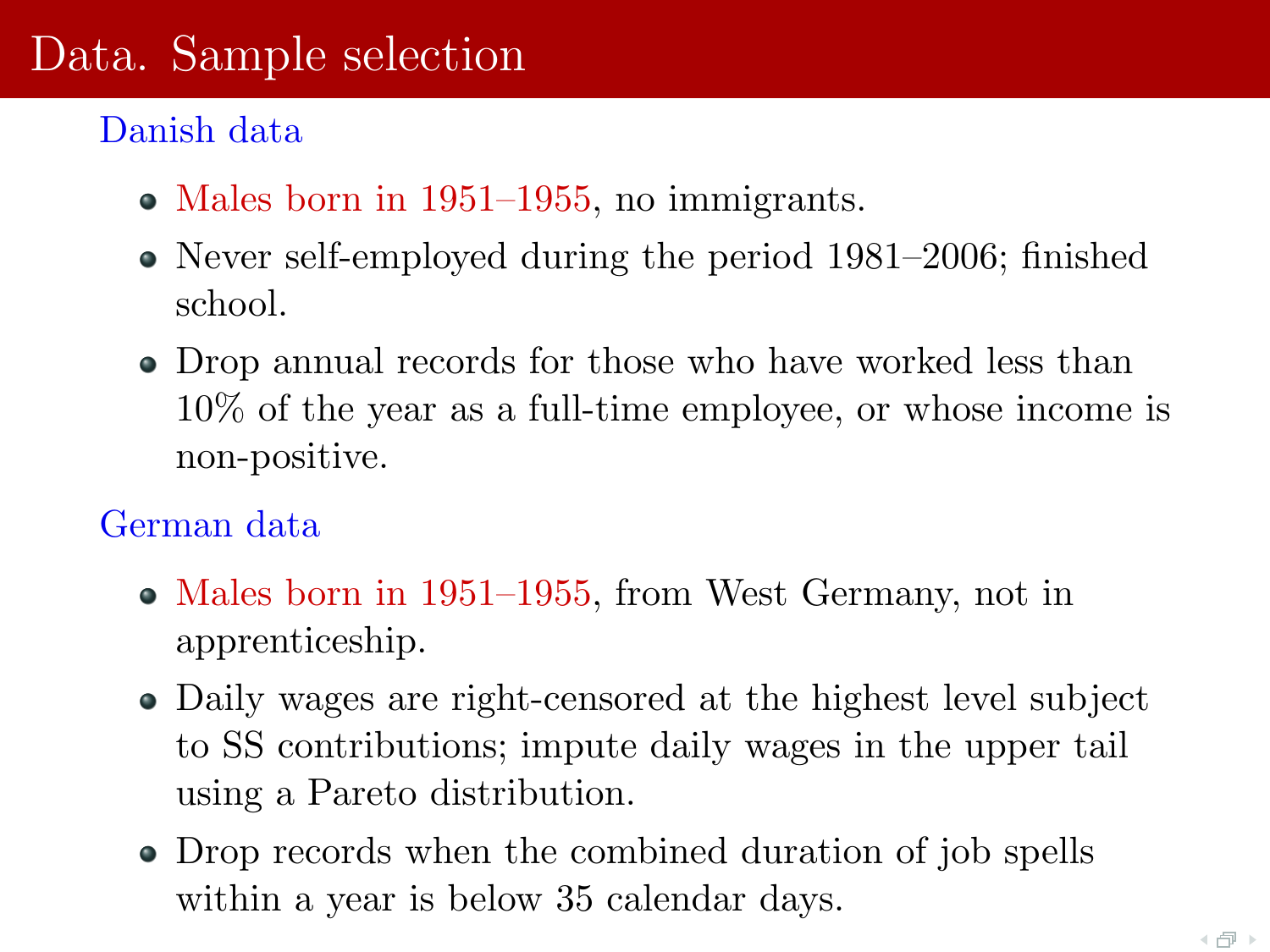# Data. Sample selection

#### Danish data

- Males born in 1951–1955, no immigrants.
- Never self-employed during the period 1981–2006; finished school.
- Drop annual records for those who have worked less than 10% of the year as a full-time employee, or whose income is non-positive.

#### German data

- Males born in 1951–1955, from West Germany, not in apprenticeship.
- Daily wages are right-censored at the highest level subject to SS contributions; impute daily wages in the upper tail using a Pareto distribution.
- Drop records when the combined duration of job spells within a year is below 35 calendar days.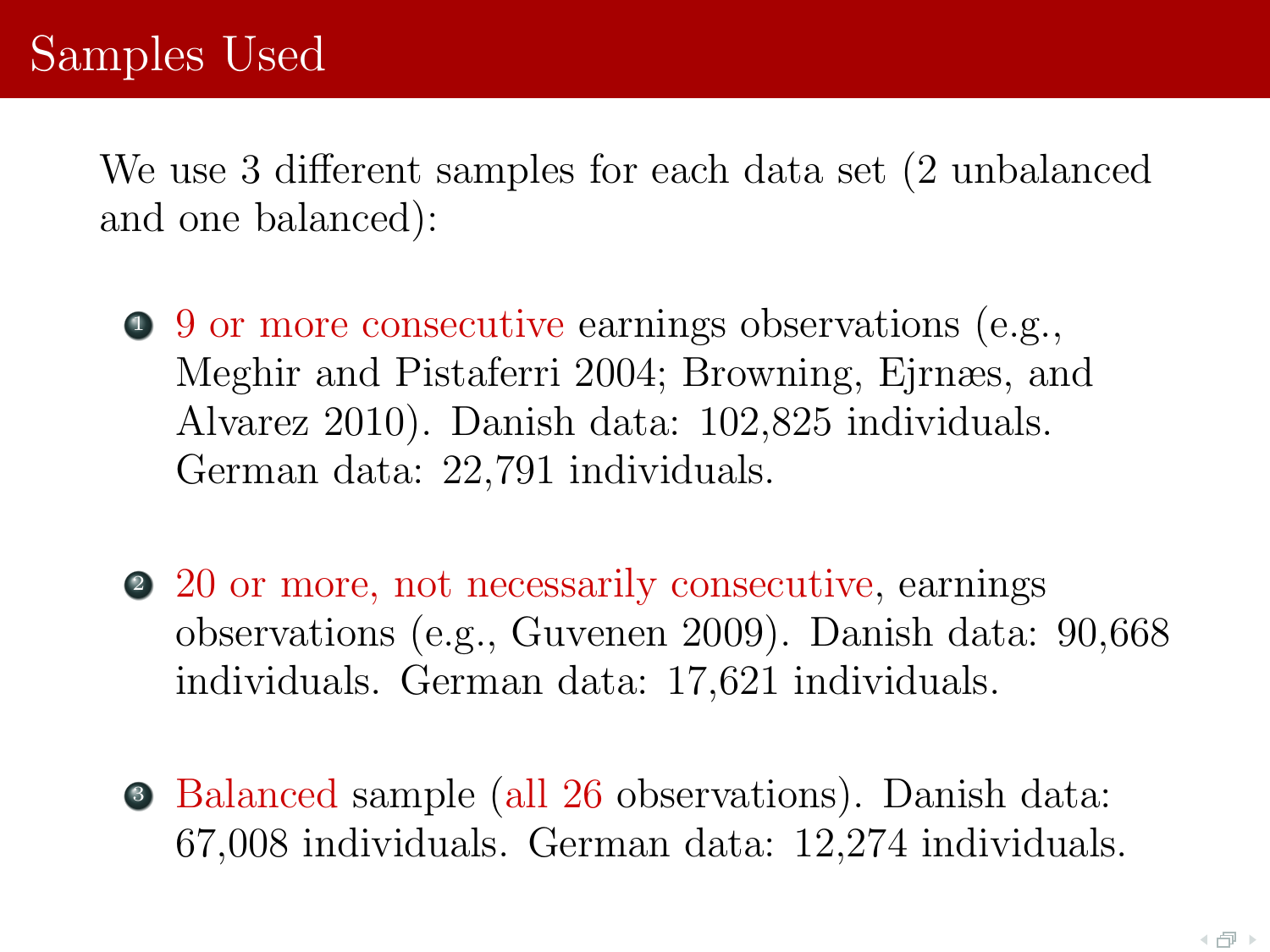We use 3 different samples for each data set (2 unbalanced and one balanced):

- <sup>1</sup> 9 or more consecutive earnings observations (e.g., Meghir and Pistaferri 2004; Browning, Ejrnæs, and Alvarez 2010). Danish data: 102,825 individuals. German data: 22,791 individuals.
- <sup>2</sup> 20 or more, not necessarily consecutive, earnings observations (e.g., Guvenen 2009). Danish data: 90,668 individuals. German data: 17,621 individuals.
- <sup>3</sup> Balanced sample (all 26 observations). Danish data: 67,008 individuals. German data: 12,274 individuals.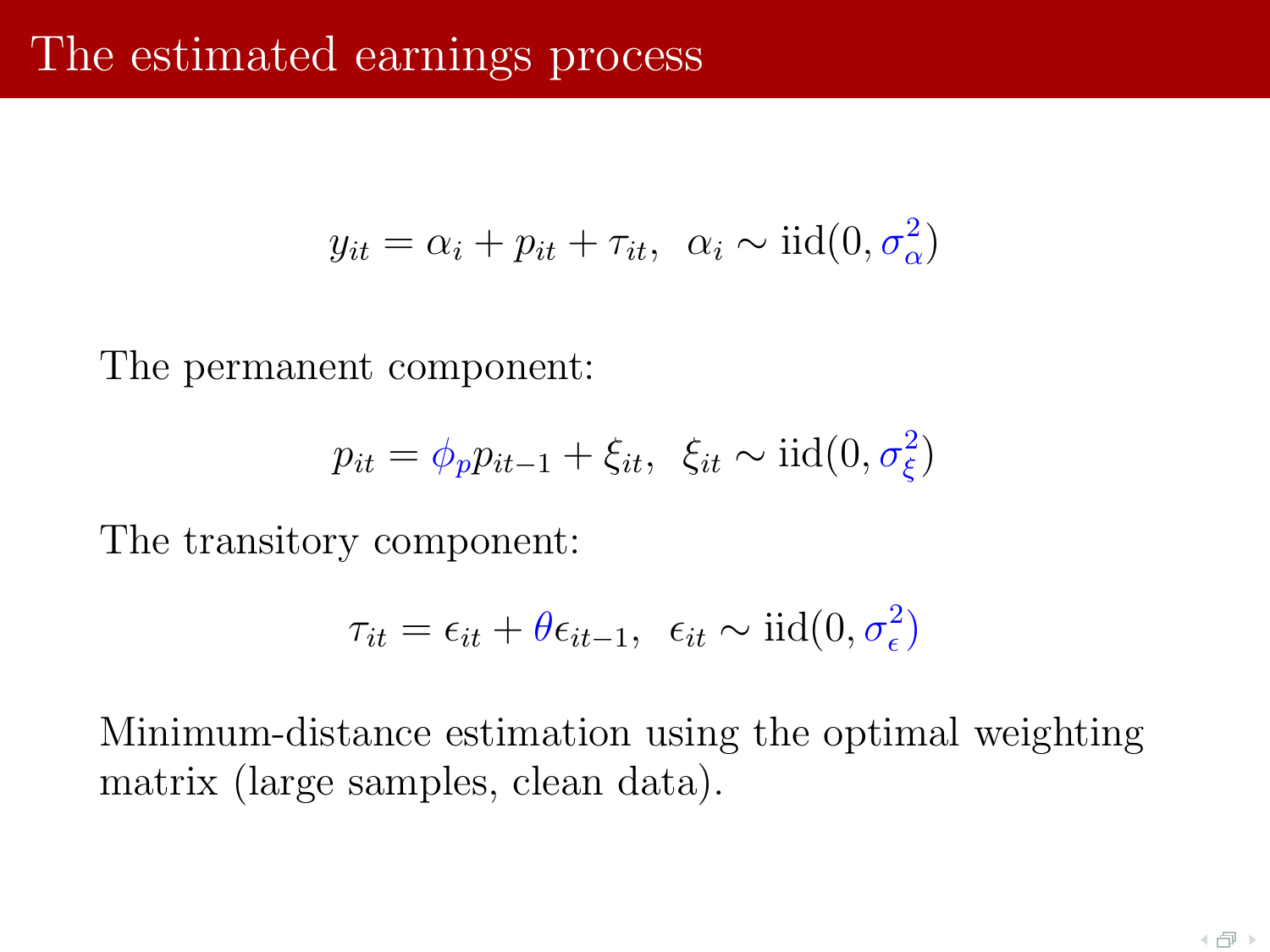$$
y_{it} = \alpha_i + p_{it} + \tau_{it}, \ \alpha_i \sim \text{iid}(0, \sigma_{\alpha}^2)
$$

The permanent component:

$$
p_{it} = \phi_p p_{it-1} + \xi_{it}, \ \xi_{it} \sim \text{iid}(0, \sigma_{\xi}^2)
$$

The transitory component:

$$
\tau_{it} = \epsilon_{it} + \theta \epsilon_{it-1}, \ \epsilon_{it} \sim \text{iid}(0, \sigma_{\epsilon}^2)
$$

Minimum-distance estimation using the optimal weighting matrix (large samples, clean data).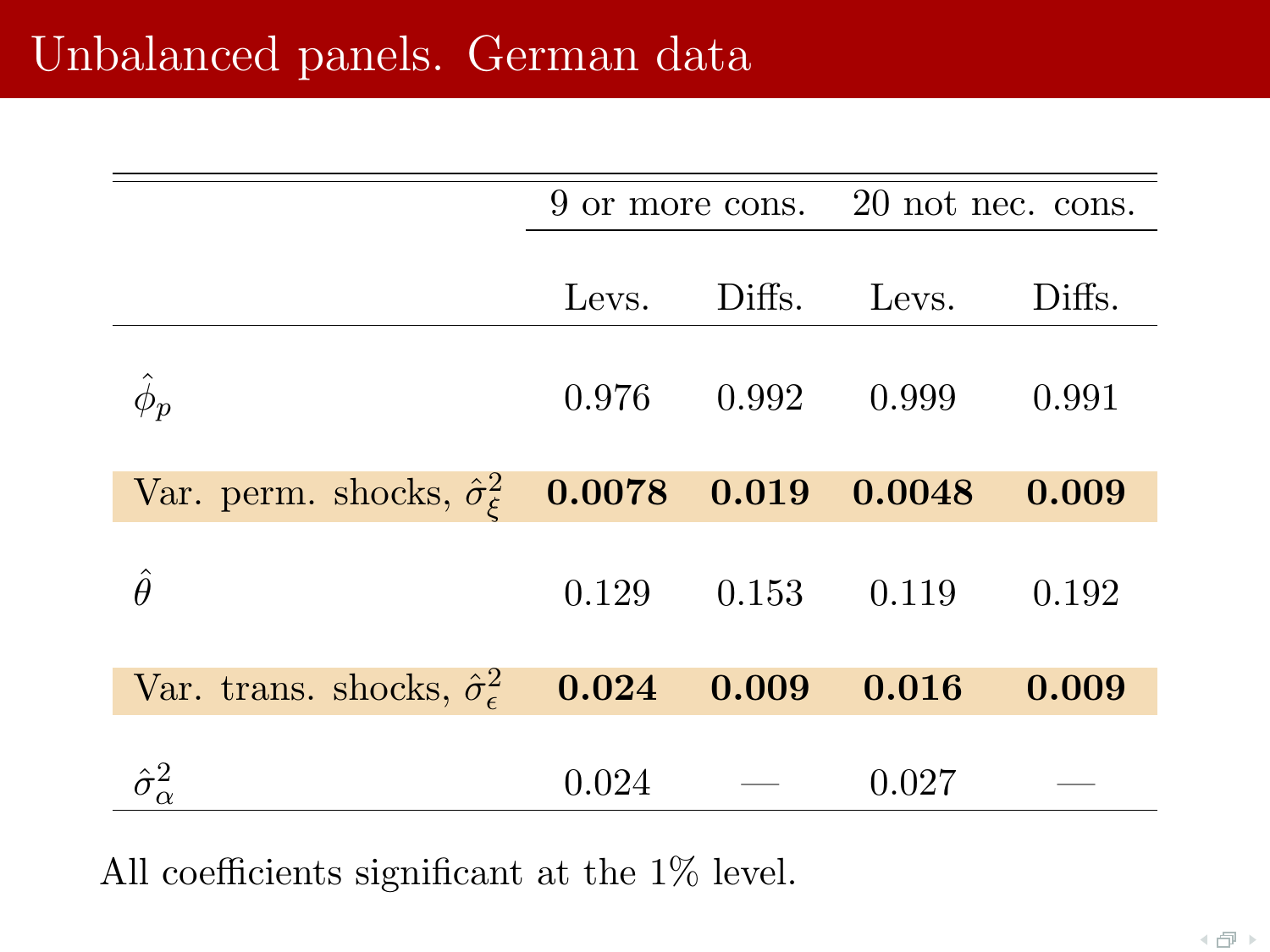|                                                                            |       | 9 or more cons. 20 not nec. cons. |       |  |
|----------------------------------------------------------------------------|-------|-----------------------------------|-------|--|
|                                                                            |       | Levs. Diffs. Levs. Diffs.         |       |  |
|                                                                            |       | $0.976$ $0.992$ $0.999$ $0.991$   |       |  |
| Var. perm. shocks, $\hat{\sigma}_{\xi}^2$ <b>0.0078 0.019 0.0048 0.009</b> |       |                                   |       |  |
| Â                                                                          |       | $0.129$ $0.153$ $0.119$ $0.192$   |       |  |
| Var. trans. shocks, $\hat{\sigma}_{\epsilon}^2$ <b>0.024 0.009 0.016</b>   |       |                                   | 0.009 |  |
| $\hat{\sigma}^2_{\alpha}$                                                  | 0.024 | 0.027                             |       |  |

All coefficients significant at the 1% level.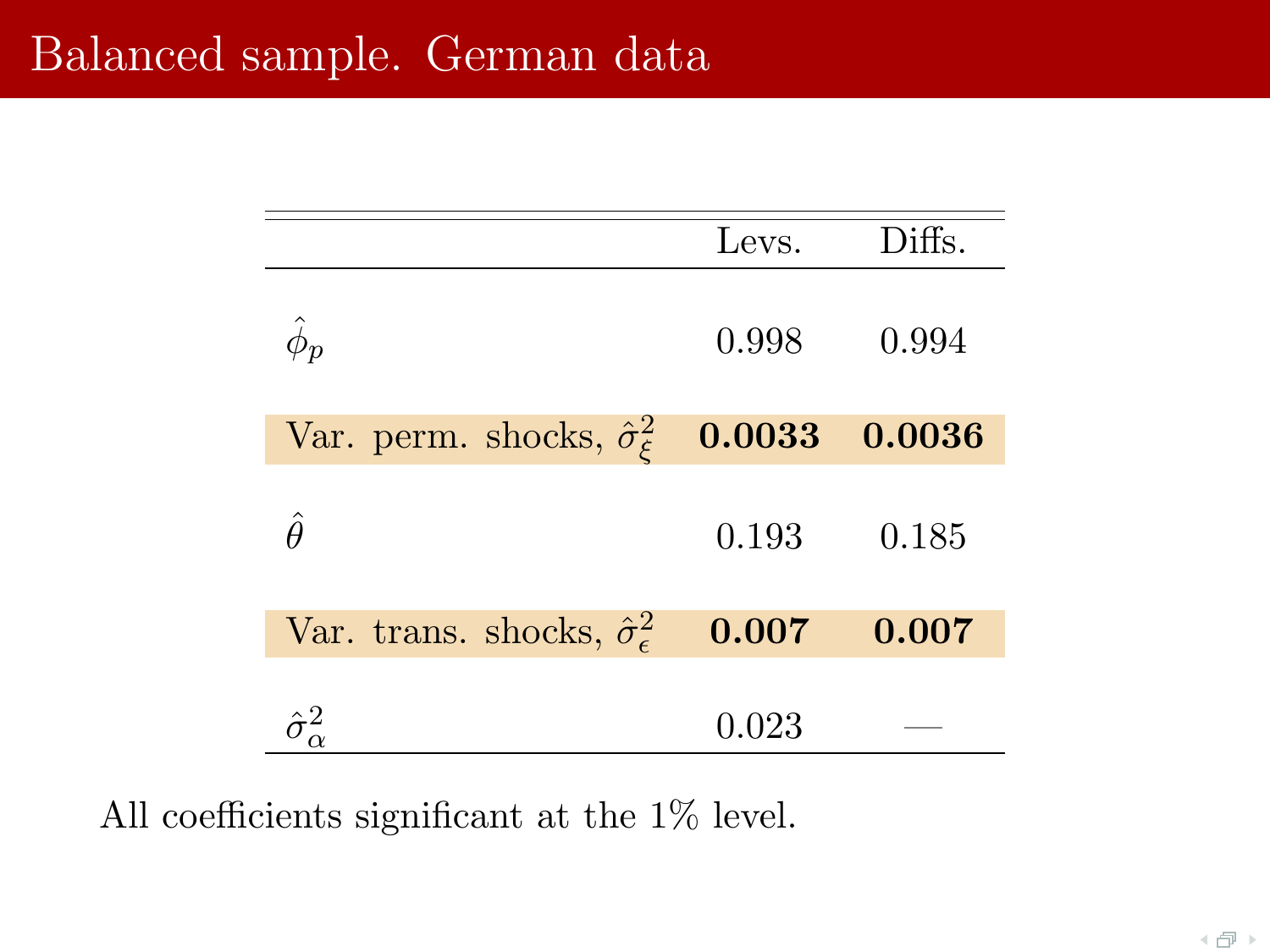|                                                         | Levs. | Diffs. |
|---------------------------------------------------------|-------|--------|
| $\hat{\phi}_{\bm{p}}$                                   | 0.998 | 0.994  |
| Var. perm. shocks, $\hat{\sigma}_{\xi}^2$ <b>0.0033</b> |       | 0.0036 |
| Â                                                       | 0.193 | 0.185  |
| Var. trans. shocks, $\hat{\sigma}_{\epsilon}^2$         | 0.007 | 0.007  |
| $\hat{\sigma}_{\alpha}^2$                               | 0.023 |        |

All coefficients significant at the 1% level.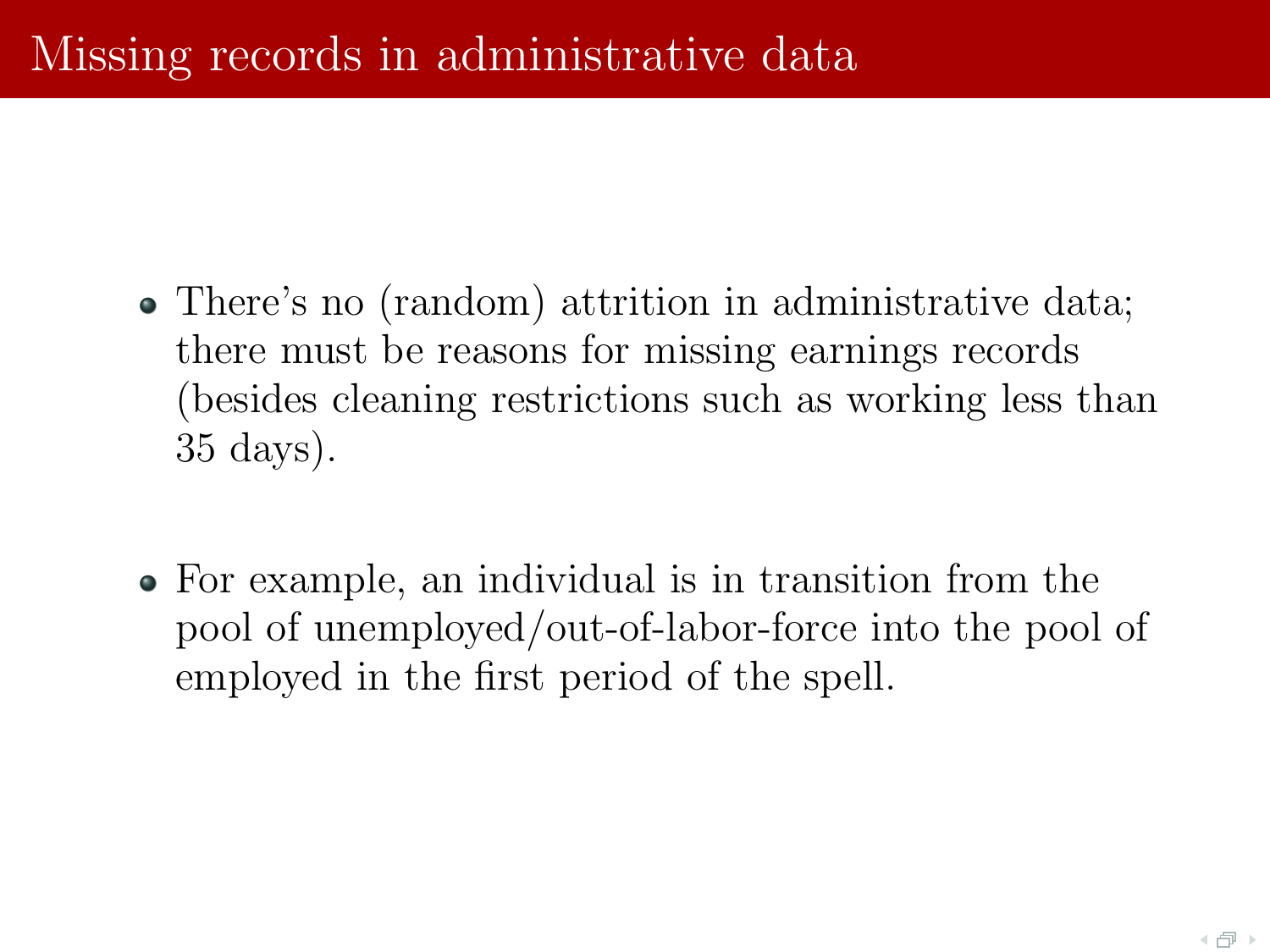- There's no (random) attrition in administrative data; there must be reasons for missing earnings records (besides cleaning restrictions such as working less than 35 days).
- For example, an individual is in transition from the pool of unemployed/out-of-labor-force into the pool of employed in the first period of the spell.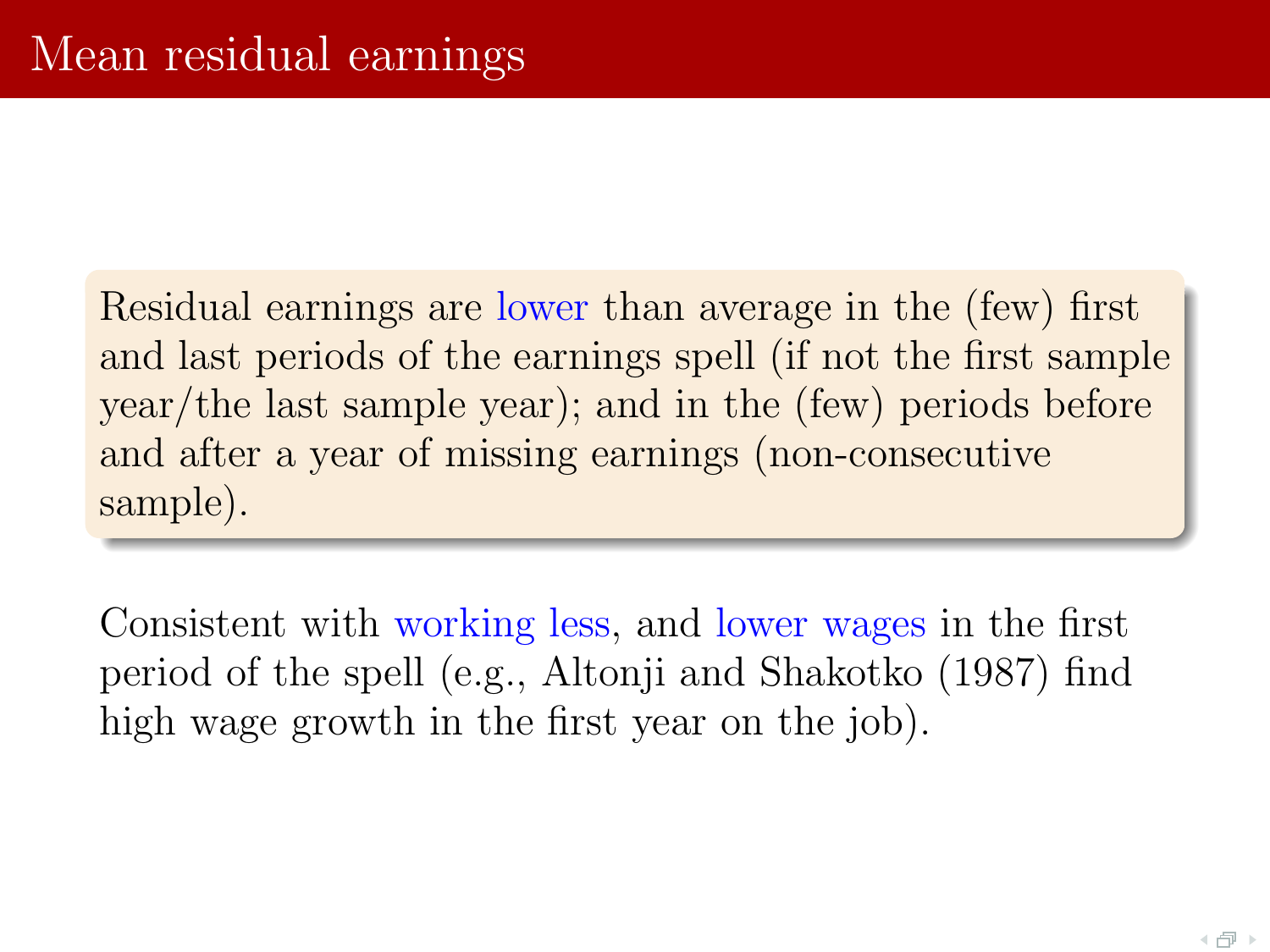Residual earnings are lower than average in the (few) first and last periods of the earnings spell (if not the first sample year/the last sample year); and in the (few) periods before and after a year of missing earnings (non-consecutive sample).

Consistent with working less, and lower wages in the first period of the spell (e.g., Altonji and Shakotko (1987) find high wage growth in the first year on the job).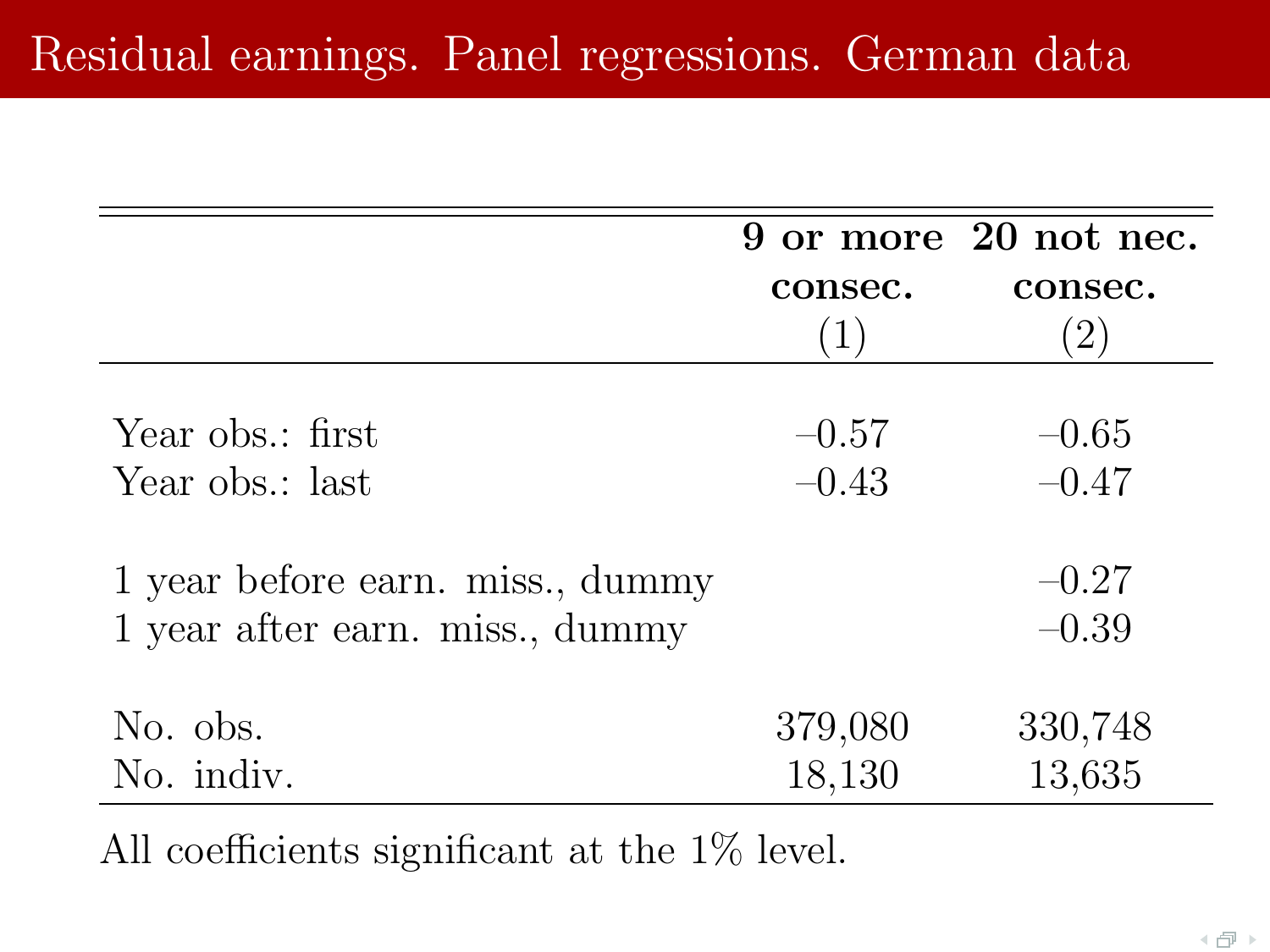# Residual earnings. Panel regressions. German data

|                                  |         | 9 or more 20 not nec. |
|----------------------------------|---------|-----------------------|
|                                  | consec. | consec.               |
|                                  | (1)     | $\left( 2\right)$     |
|                                  |         |                       |
| Year obs.: first                 | $-0.57$ | $-0.65$               |
| Year obs.: last                  | $-0.43$ | $-0.47$               |
| 1 year before earn. miss., dummy |         | $-0.27$               |
| 1 year after earn. miss., dummy  |         | $-0.39$               |
| No. obs.                         | 379,080 | 330,748               |
| No. indiv.                       | 18,130  | 13,635                |

All coefficients significant at the 1% level.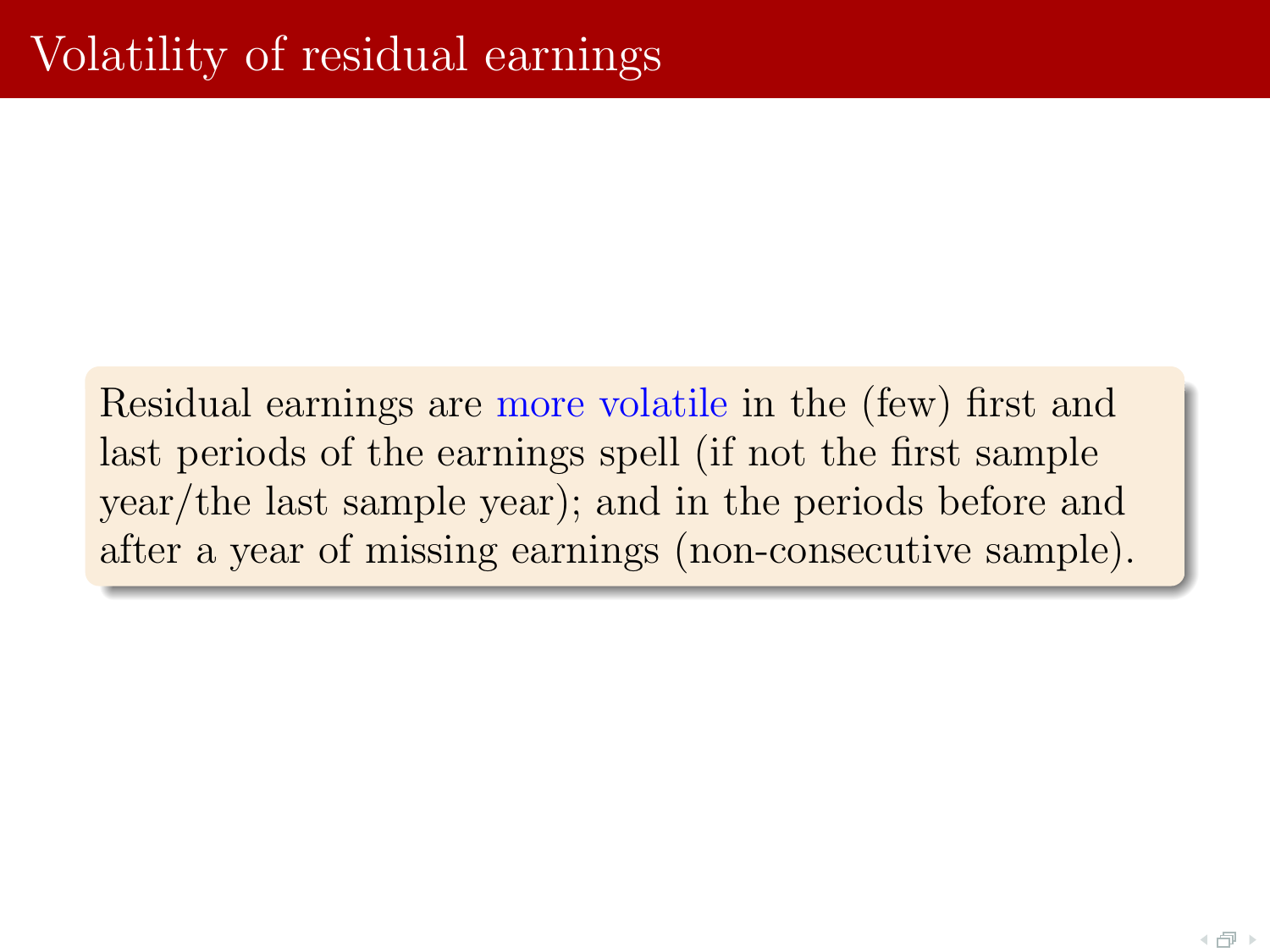Residual earnings are more volatile in the (few) first and last periods of the earnings spell (if not the first sample year/the last sample year); and in the periods before and after a year of missing earnings (non-consecutive sample).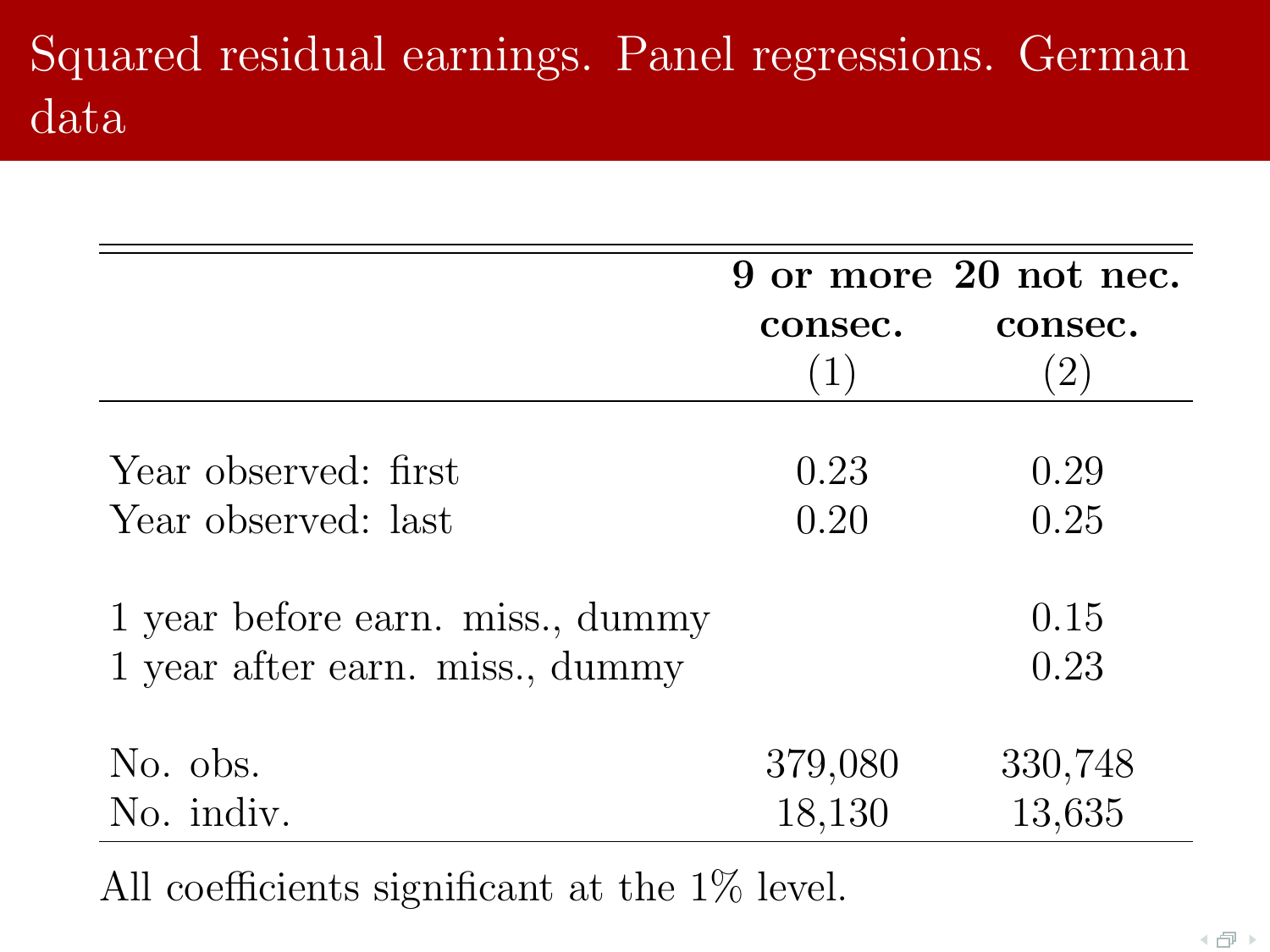# Squared residual earnings. Panel regressions. German data

|                                  |         | 9 or more 20 not nec. |
|----------------------------------|---------|-----------------------|
|                                  | consec. | consec.               |
|                                  | (1)     | $\left( 2\right)$     |
|                                  |         |                       |
| Year observed: first             | 0.23    | 0.29                  |
| Year observed: last              | 0.20    | 0.25                  |
|                                  |         |                       |
| 1 year before earn. miss., dummy |         | 0.15                  |
| 1 year after earn. miss., dummy  |         | 0.23                  |
| No. obs.                         | 379,080 | 330,748               |
| No. indiv.                       |         | 13,635                |
|                                  | 18,130  |                       |

All coefficients significant at the 1% level.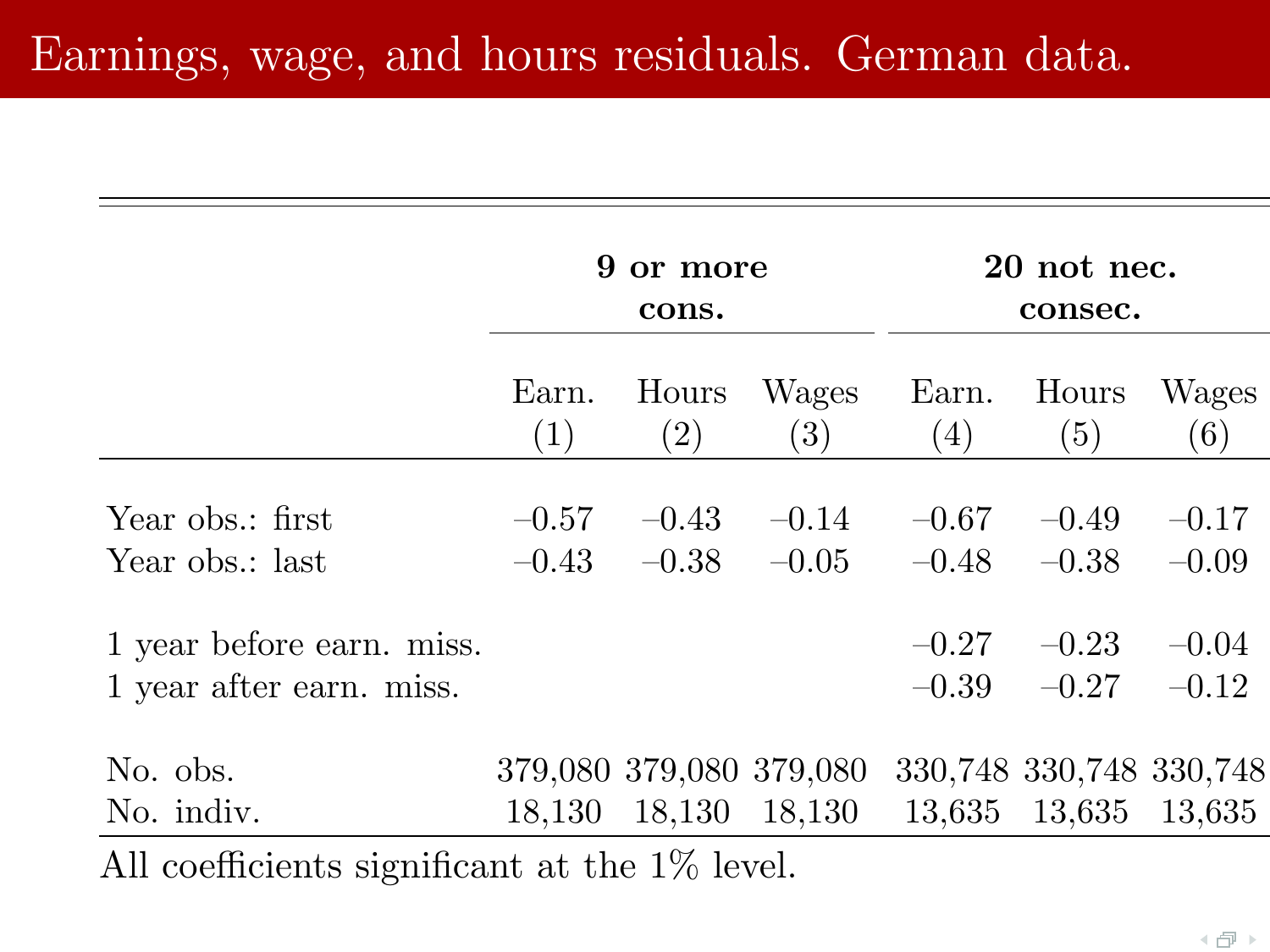# Earnings, wage, and hours residuals. German data.

|                                                       | 9            | or more<br>cons.           |                         | 20 not nec.<br>consec. |                         |                    |
|-------------------------------------------------------|--------------|----------------------------|-------------------------|------------------------|-------------------------|--------------------|
|                                                       | Earn.<br>(1) | Hours<br>$\left( 2\right)$ | Wages<br>(3)            | Earn.<br>(4)           | Hours<br>(5)            | Wages<br>(6)       |
| Year obs.: first                                      | $-0.57$      | $-0.43$                    | $-0.14$                 | $-0.67$                | $-0.49$                 | $-0.17$            |
| Year obs.: last                                       | $-0.43$      | $-0.38$                    | $-0.05$                 | $-0.48$                | $-0.38$                 | $-0.09$            |
| 1 year before earn. miss.<br>1 year after earn. miss. |              |                            |                         | $-0.27$<br>$-0.39$     | $-0.23$<br>$-0.27$      | $-0.04$<br>$-0.12$ |
| No. obs.                                              |              |                            | 379,080 379,080 379,080 |                        | 330,748 330,748 330,748 |                    |
| No. indiv.                                            | 18,130       | 18,130                     | 18,130                  | 13,635                 | 13,635                  | 13,635             |
| All coefficients significant at the $1\%$ level.      |              |                            |                         |                        |                         |                    |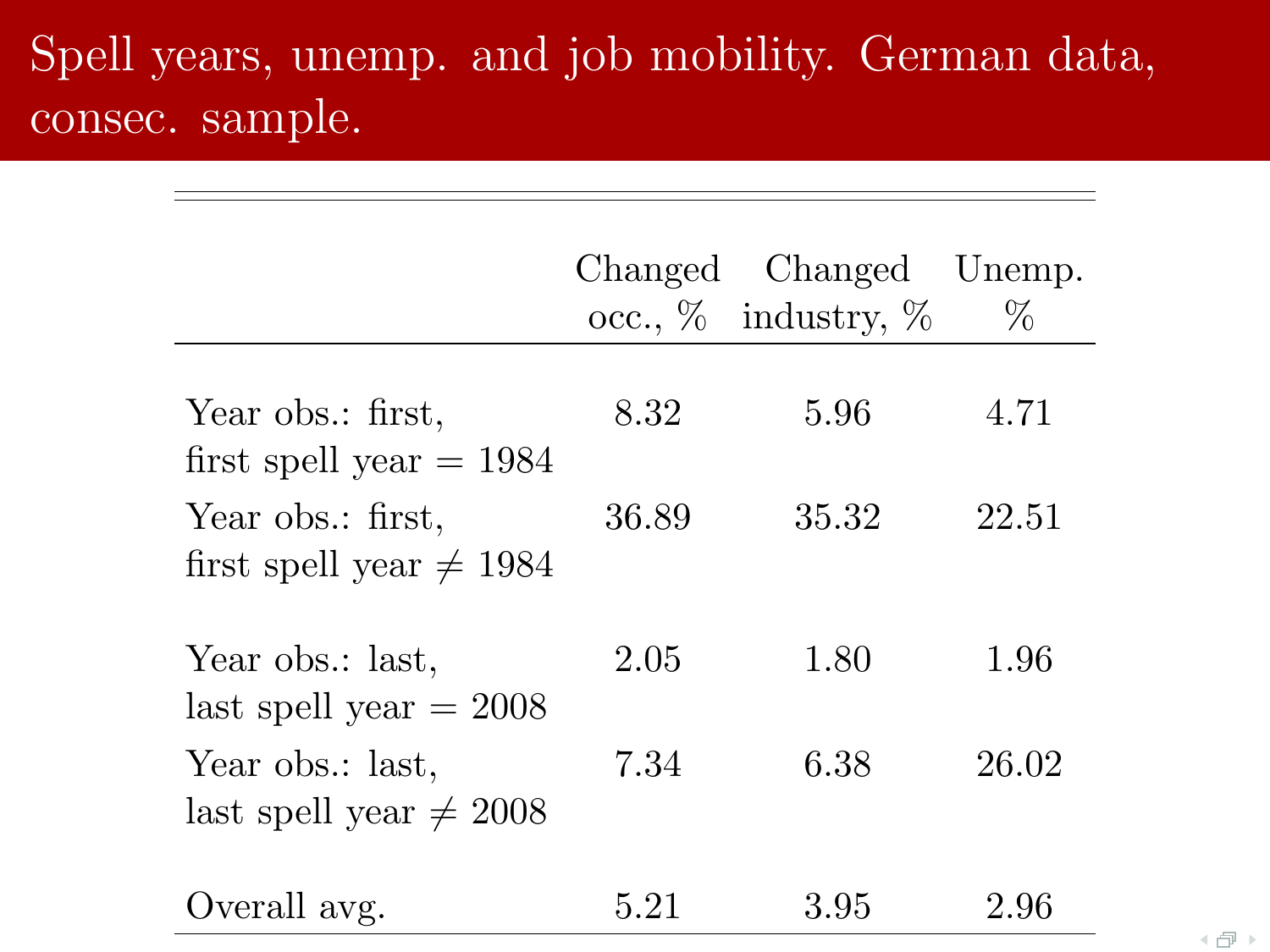# Spell years, unemp. and job mobility. German data, consec. sample.

|                                                   | Changed | Changed<br>occ., $\%$ industry, $\%$ | Unemp.<br>$\%$ |
|---------------------------------------------------|---------|--------------------------------------|----------------|
| Year obs.: first,<br>first spell year $= 1984$    | 8.32    | 5.96                                 | 4.71           |
| Year obs.: first,<br>first spell year $\neq$ 1984 | 36.89   | 35.32                                | 22.51          |
| Year obs.: last,<br>last spell year $= 2008$      | 2.05    | 1.80                                 | 1.96           |
| Year obs.: last,<br>last spell year $\neq$ 2008   | 7.34    | 6.38                                 | 26.02          |
| Overall avg.                                      | 5.21    | 3.95                                 | 2.96           |

 $\left\langle \begin{array}{c} \square \end{array} \right\rangle$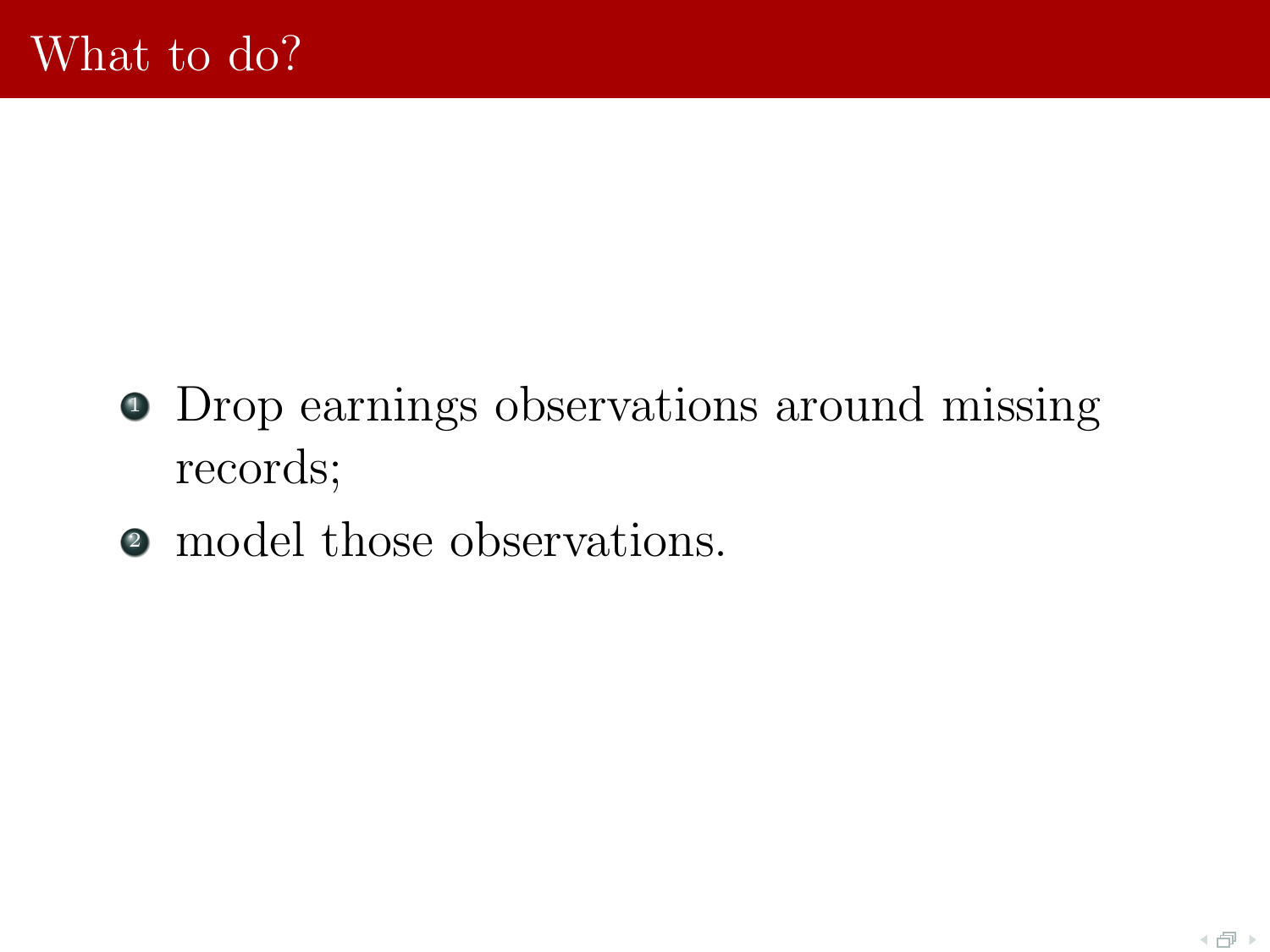- Drop earnings observations around missing records;
- model those observations.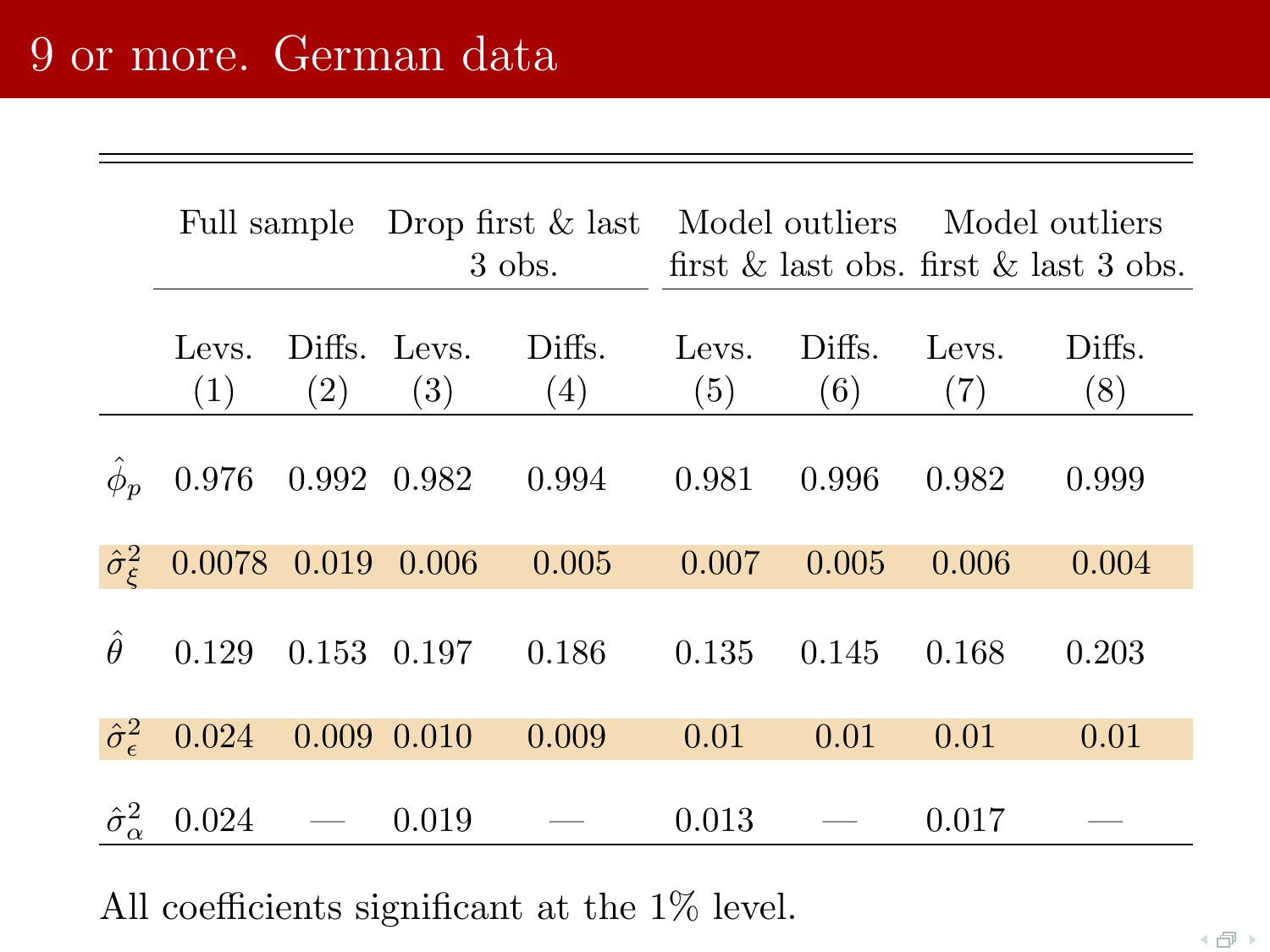|                                |                          |                                   |                 | $3$ obs.      | Full sample Drop first & last Model outliers Model outliers |               | first $\&$ last obs. first $\&$ last 3 obs. |               |
|--------------------------------|--------------------------|-----------------------------------|-----------------|---------------|-------------------------------------------------------------|---------------|---------------------------------------------|---------------|
|                                | Levs.<br>(1)             | Diffs. Levs.<br>$\left( 2\right)$ | (3)             | Diffs.<br>(4) | Levs.<br>(5)                                                | Diffs.<br>(6) | Levs.<br>(7)                                | Diffs.<br>(8) |
| $\hat{\phi}_p$                 | 0.976                    | 0.992 0.982                       |                 | 0.994         | 0.981                                                       | 0.996         | 0.982                                       | 0.999         |
| $\hat{\sigma}_{\varepsilon}^2$ | $0.0078$ $0.019$ $0.006$ |                                   |                 | 0.005         | 0.007                                                       | 0.005         | 0.006                                       | 0.004         |
| Â                              | 0.129                    | 0.153 0.197                       |                 | 0.186         | 0.135                                                       | 0.145         | 0.168                                       | 0.203         |
| $\hat{\sigma}_{\epsilon}^2$    | 0.024                    |                                   | $0.009$ $0.010$ | 0.009         | 0.01                                                        | 0.01          | 0.01                                        | 0.01          |
| $\hat{\sigma}^2_{\alpha}$      | 0.024                    |                                   | 0.019           |               | 0.013                                                       |               | 0.017                                       |               |

All coefficients significant at the 1% level.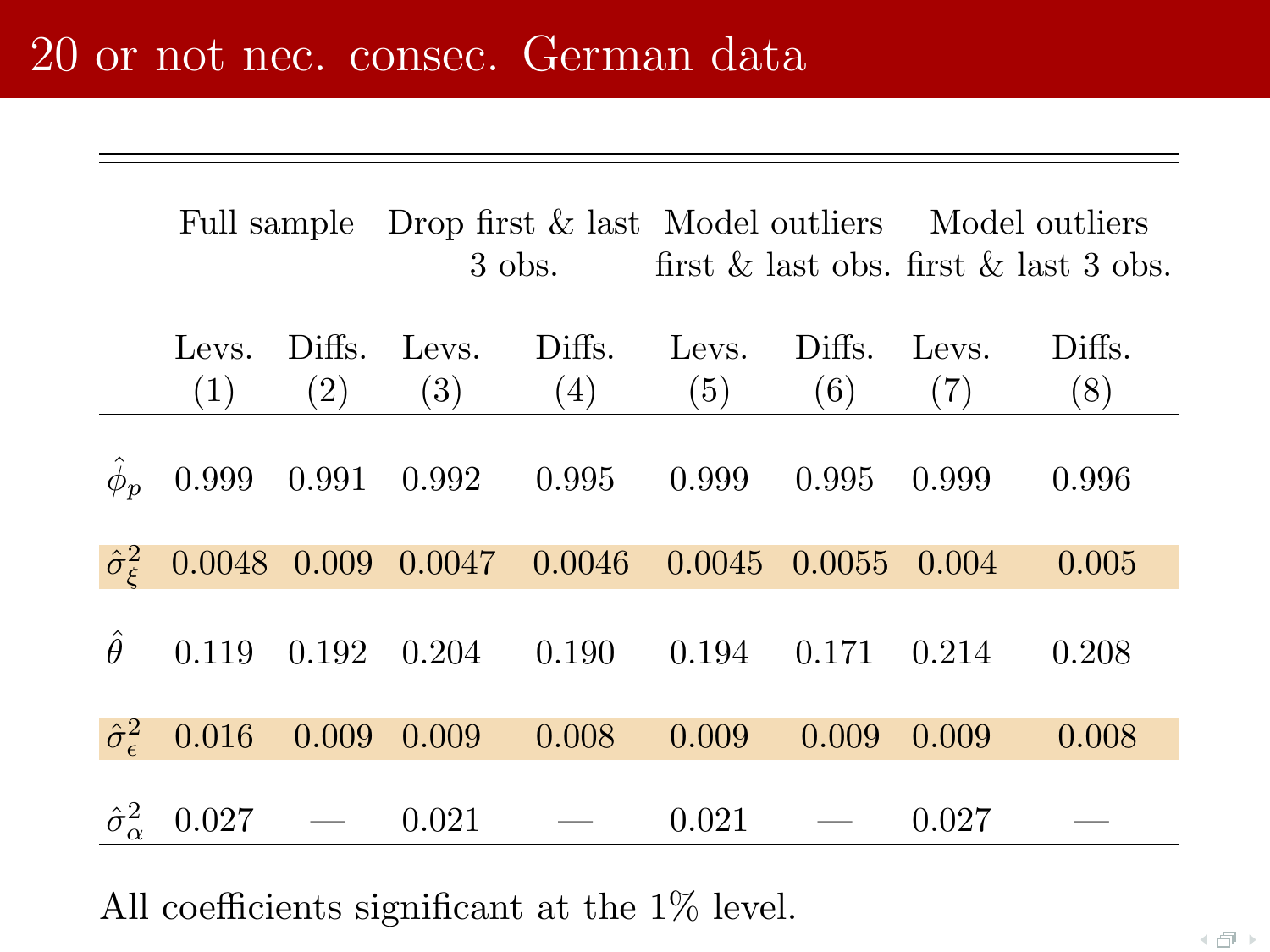|                                |              |               |                                             | 3 obs.        |              |               | Full sample Drop first & last Model outliers Model outliers<br>first $\&$ last obs. first $\&$ last 3 obs. |               |
|--------------------------------|--------------|---------------|---------------------------------------------|---------------|--------------|---------------|------------------------------------------------------------------------------------------------------------|---------------|
|                                | Levs.<br>(1) | Diffs.<br>(2) | Levs.<br>(3)                                | Diffs.<br>(4) | Levs.<br>(5) | Diffs.<br>(6) | Levs.<br>(7)                                                                                               | Diffs.<br>(8) |
| $\hat{\phi}_p$                 | 0.999        |               | $0.991$ $0.992$ $0.995$                     |               | 0.999        | 0.995         | 0.999                                                                                                      | 0.996         |
| $\hat{\sigma}_{\varepsilon}^2$ |              |               | $0.0048$ $0.009$ $0.0047$ $0.0046$ $0.0045$ |               |              | 0.0055        | 0.004                                                                                                      | 0.005         |
| Â                              | 0.119        | 0.192         | 0.204                                       | 0.190         | 0.194        | 0.171         | 0.214                                                                                                      | 0.208         |
| $\hat{\sigma}_{\epsilon}^2$    | 0.016        | 0.009         | 0.009                                       | 0.008         | 0.009        | 0.009         | 0.009                                                                                                      | 0.008         |
| $\hat{\sigma}^2_{\alpha}$      | 0.027        |               | 0.021                                       |               | 0.021        |               | 0.027                                                                                                      |               |

All coefficients significant at the 1% level.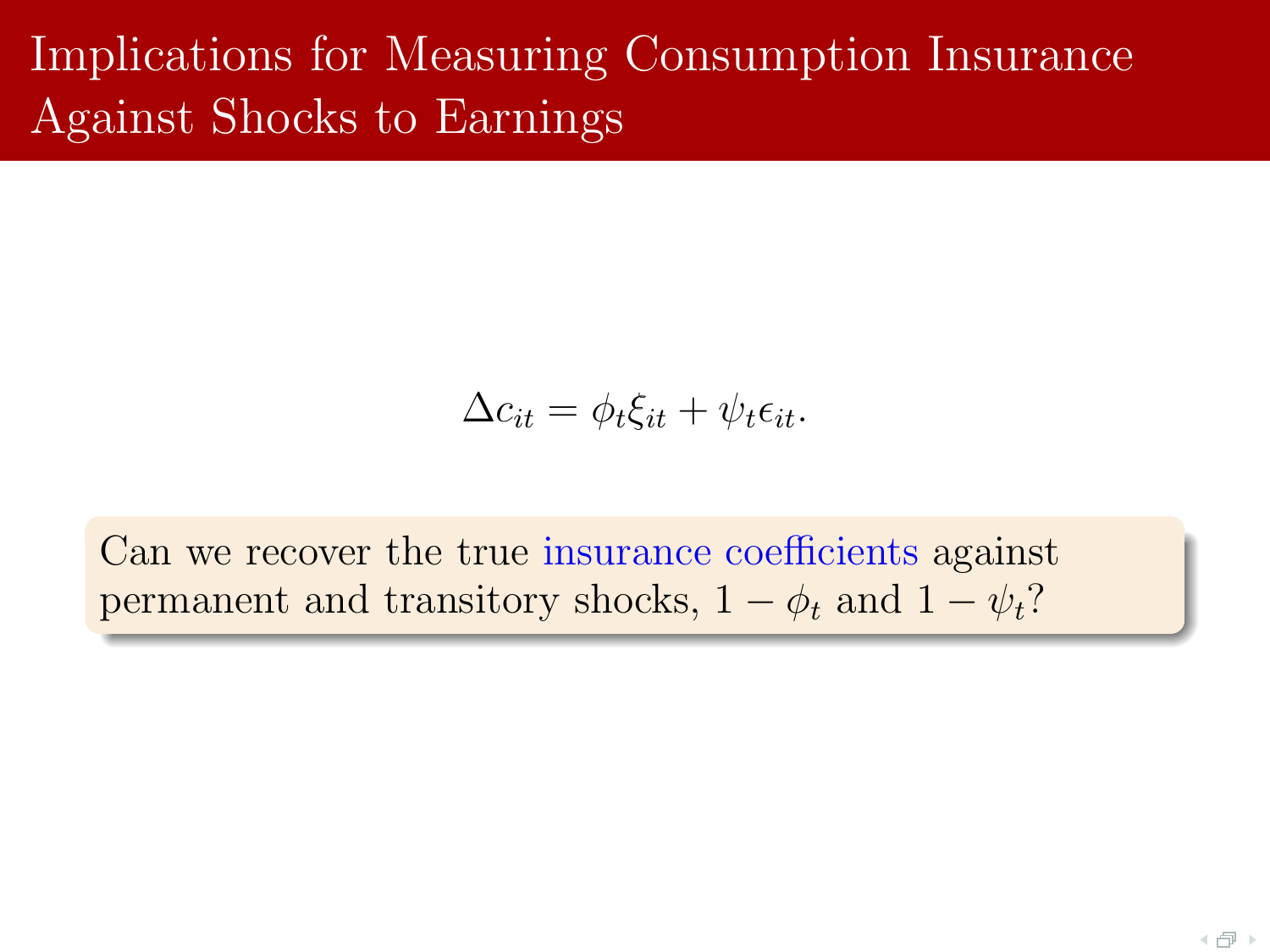# Implications for Measuring Consumption Insurance Against Shocks to Earnings

$$
\Delta c_{it} = \phi_t \xi_{it} + \psi_t \epsilon_{it}.
$$

Can we recover the true insurance coefficients against permanent and transitory shocks,  $1 - \phi_t$  and  $1 - \psi_t$ ?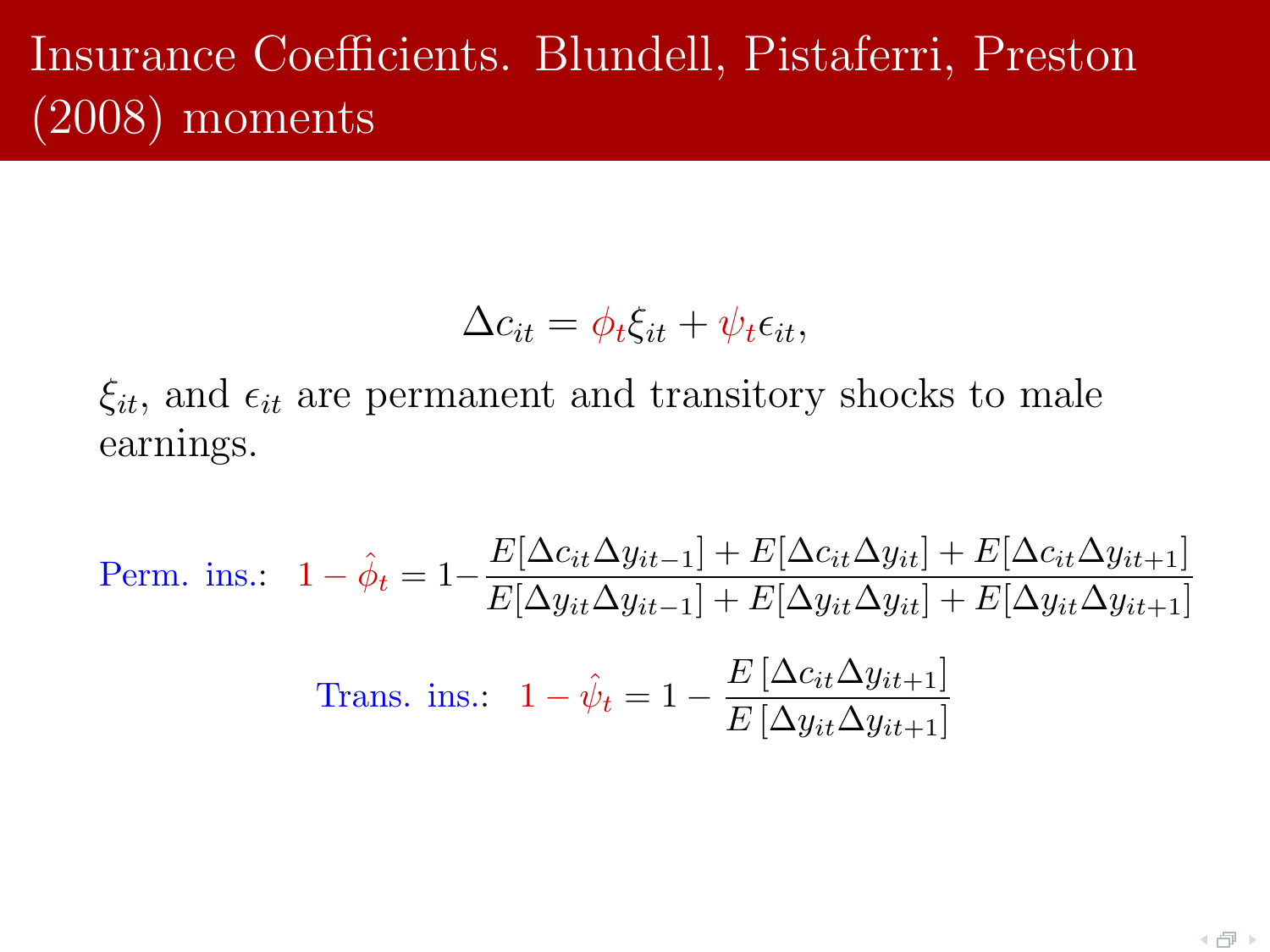# Insurance Coefficients. Blundell, Pistaferri, Preston (2008) moments

$$
\Delta c_{it} = \phi_t \xi_{it} + \psi_t \epsilon_{it},
$$

 $\xi_{it}$ , and  $\epsilon_{it}$  are permanent and transitory shocks to male earnings.

Perm. ins.:

\n
$$
1 - \hat{\phi}_t = 1 - \frac{E[\Delta c_{it} \Delta y_{it-1}] + E[\Delta c_{it} \Delta y_{it}] + E[\Delta c_{it} \Delta y_{it+1}]}{E[\Delta y_{it} \Delta y_{it-1}] + E[\Delta y_{it} \Delta y_{it}] + E[\Delta y_{it} \Delta y_{it+1}]}
$$
\nTrans. ins.:

\n
$$
1 - \hat{\psi}_t = 1 - \frac{E[\Delta c_{it} \Delta y_{it+1}]}{E[\Delta y_{it} \Delta y_{it+1}]}
$$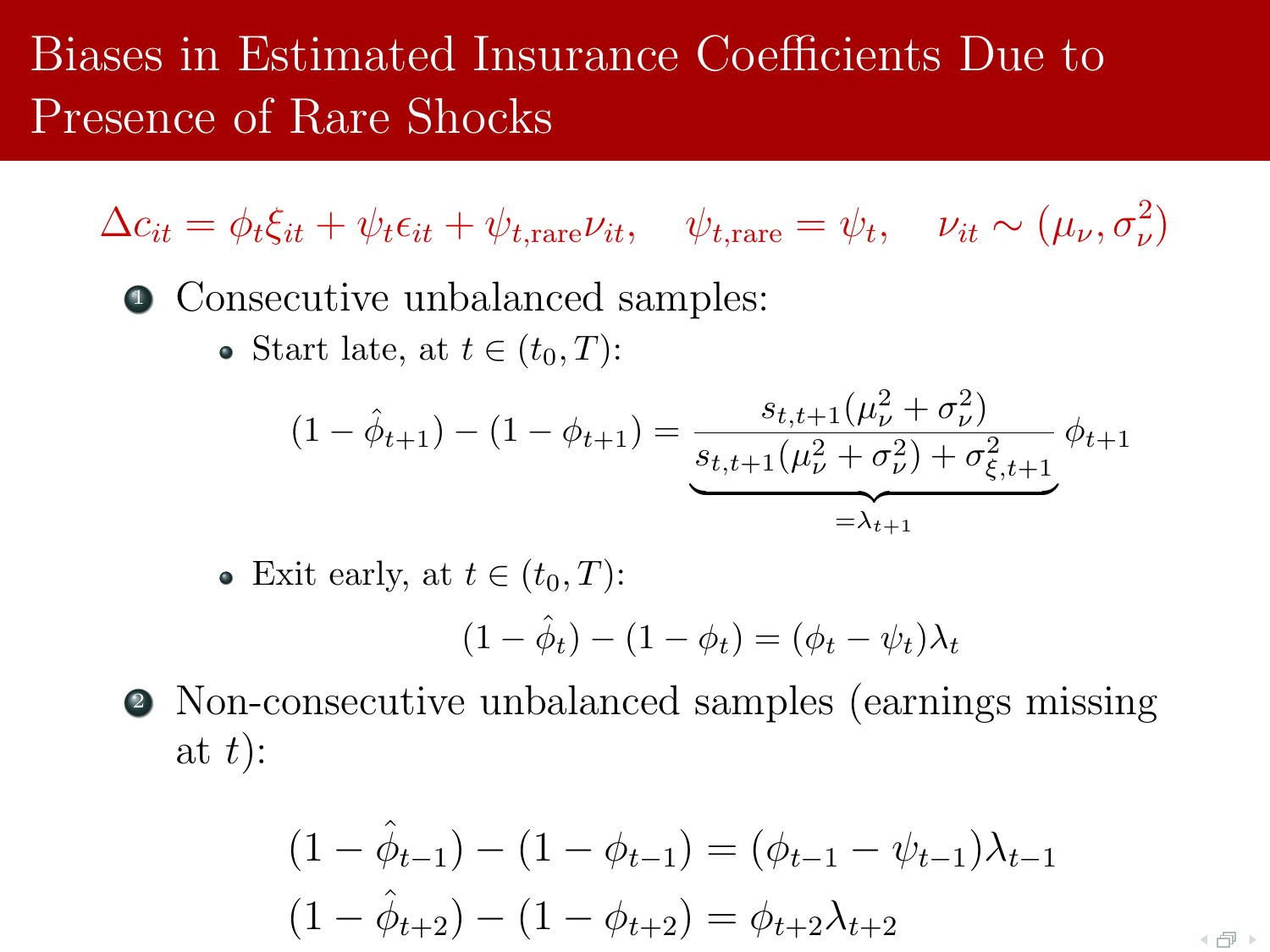# Biases in Estimated Insurance Coefficients Due to Presence of Rare Shocks

 $\Delta c_{it} = \phi_t \xi_{it} + \psi_t \epsilon_{it} + \psi_{t,\text{rare}} \nu_{it}, \quad \psi_{t,\text{rare}} = \psi_t, \quad \nu_{it} \sim (\mu_\nu, \sigma_\nu^2)$ 

<sup>1</sup> Consecutive unbalanced samples:

• Start late, at  $t \in (t_0, T)$ :

$$
(1 - \hat{\phi}_{t+1}) - (1 - \phi_{t+1}) = \underbrace{\frac{s_{t,t+1}(\mu_{\nu}^2 + \sigma_{\nu}^2)}{s_{t,t+1}(\mu_{\nu}^2 + \sigma_{\nu}^2) + \sigma_{\xi,t+1}^2}}_{=\lambda_{t+1}} \phi_{t+1}
$$

• Exit early, at  $t \in (t_0, T)$ :

$$
(1 - \hat{\phi}_t) - (1 - \phi_t) = (\phi_t - \psi_t)\lambda_t
$$

<sup>2</sup> Non-consecutive unbalanced samples (earnings missing at  $t$ :

$$
(1 - \hat{\phi}_{t-1}) - (1 - \phi_{t-1}) = (\phi_{t-1} - \psi_{t-1})\lambda_{t-1}
$$

$$
(1 - \hat{\phi}_{t+2}) - (1 - \phi_{t+2}) = \phi_{t+2}\lambda_{t+2}
$$

+ @ →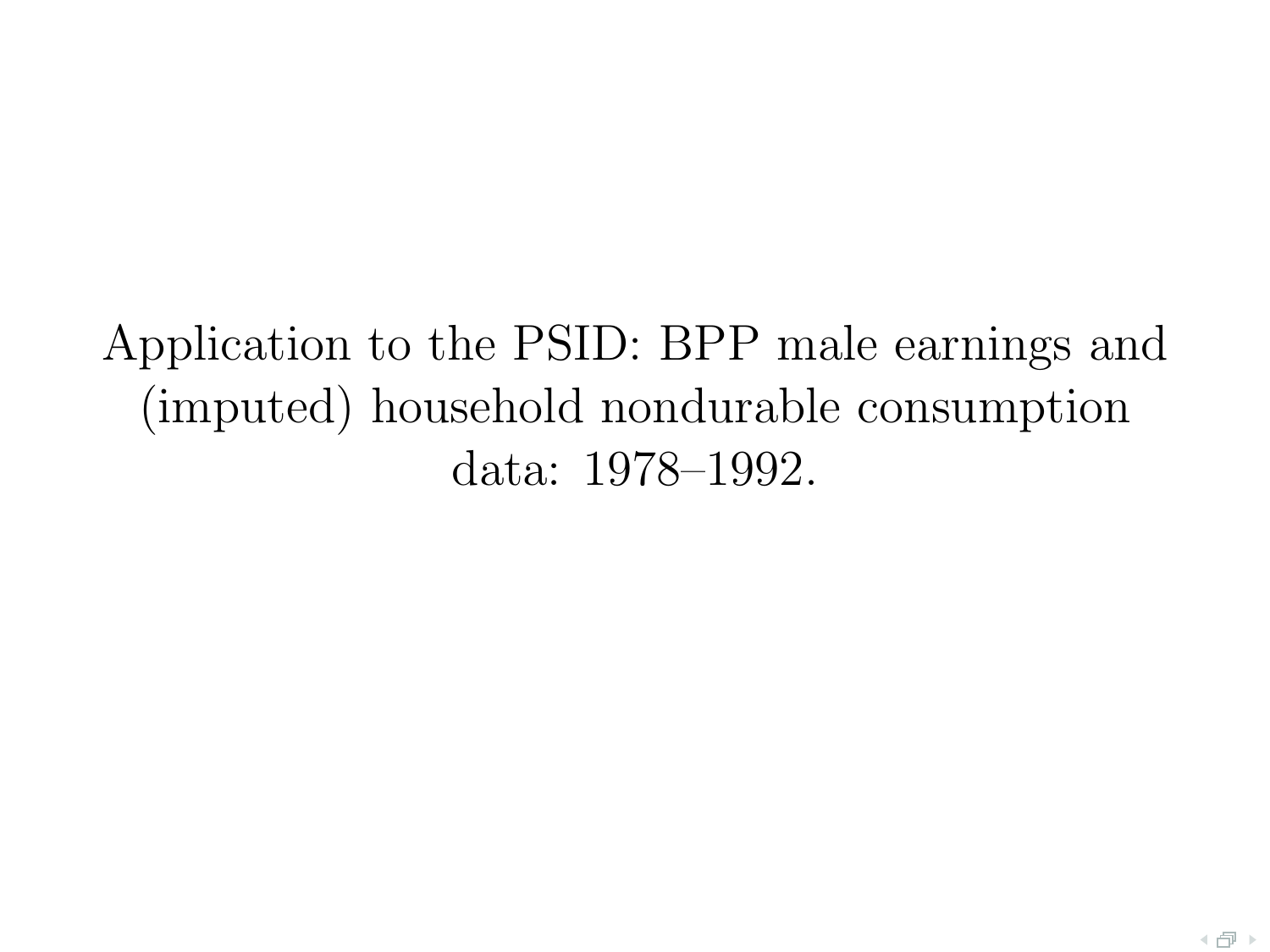# Application to the PSID: BPP male earnings and (imputed) household nondurable consumption data: 1978–1992.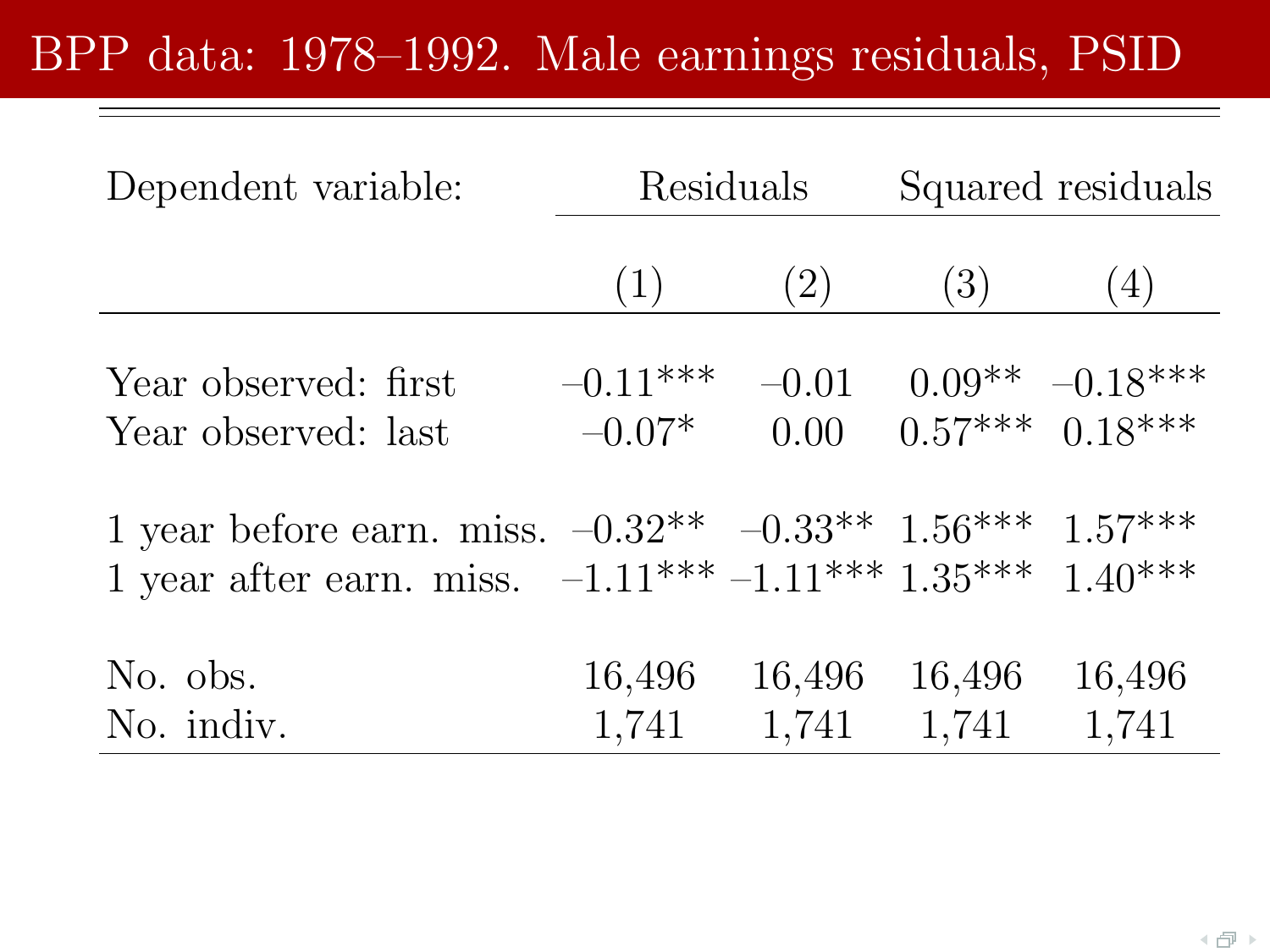# BPP data: 1978–1992. Male earnings residuals, PSID

| Dependent variable:                                                                                                                        | Residuals              |                 | Squared residuals |                                        |  |
|--------------------------------------------------------------------------------------------------------------------------------------------|------------------------|-----------------|-------------------|----------------------------------------|--|
|                                                                                                                                            | (1)                    | (2)             | $\left(3\right)$  | (4)                                    |  |
| Year observed: first<br>Year observed: last                                                                                                | $-0.11***$<br>$-0.07*$ | $-0.01$<br>0.00 |                   | $0.09** -0.18***$<br>$0.57***$ 0.18*** |  |
| 1 year before earn. miss. $-0.32^{**}$ $-0.33^{**}$ $1.56^{***}$ $1.57^{***}$<br>1 year after earn. miss. $-1.11***-1.11***1.35***1.40***$ |                        |                 |                   |                                        |  |
| No. obs.<br>No. indiv.                                                                                                                     | 16,496<br>1,741        | 16,496<br>1,741 | 16,496<br>1,741   | 16,496<br>1,741                        |  |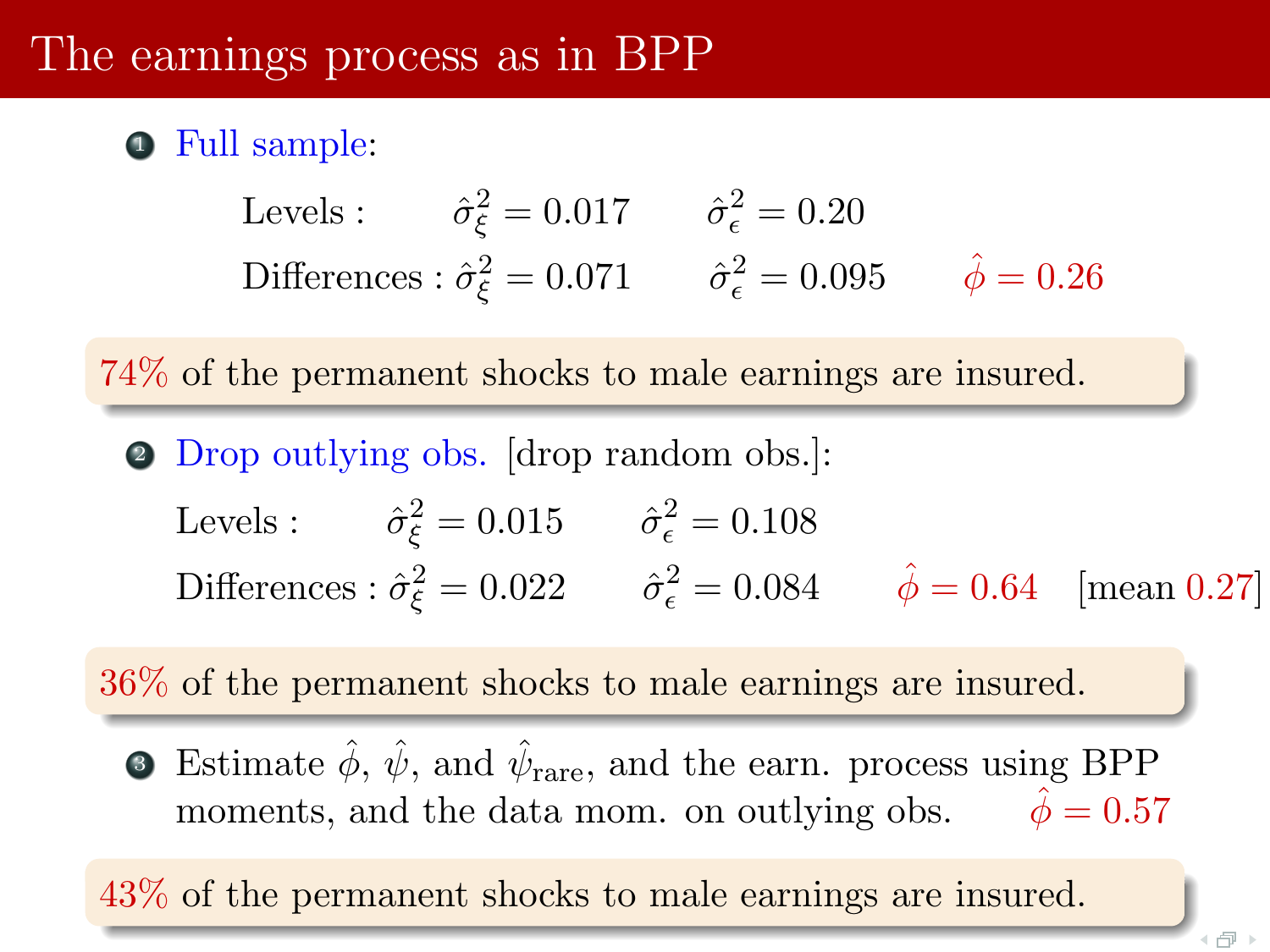#### The earnings process as in BPP

#### **•** Full sample:

Levels:  $\hat{\sigma}_{\xi}^2 = 0.017$   $\hat{\sigma}_{\epsilon}^2 = 0.20$ Differences :  $\hat{\sigma}_{\xi}^2 = 0.071$   $\hat{\sigma}_{\epsilon}^2 = 0.095$   $\hat{\phi} = 0.26$ 

74% of the permanent shocks to male earnings are insured.

<sup>2</sup> Drop outlying obs. [drop random obs.]:

Levels:  $\hat{\sigma}_{\xi}^2 = 0.015$   $\hat{\sigma}_{\epsilon}^2 = 0.108$ Differences :  $\hat{\sigma}_{\xi}^2 = 0.022$   $\hat{\sigma}_{\epsilon}^2 = 0.084$   $\hat{\phi} = 0.64$  [mean 0.27]

36% of the permanent shocks to male earnings are insured.

**3** Estimate  $\hat{\phi}$ ,  $\hat{\psi}$ , and  $\hat{\psi}_{\text{rare}}$ , and the earn. process using BPP moments, and the data mom. on outlying obs.  $\hat{\phi} = 0.57$ 

43% of the permanent shocks to male earnings are insured.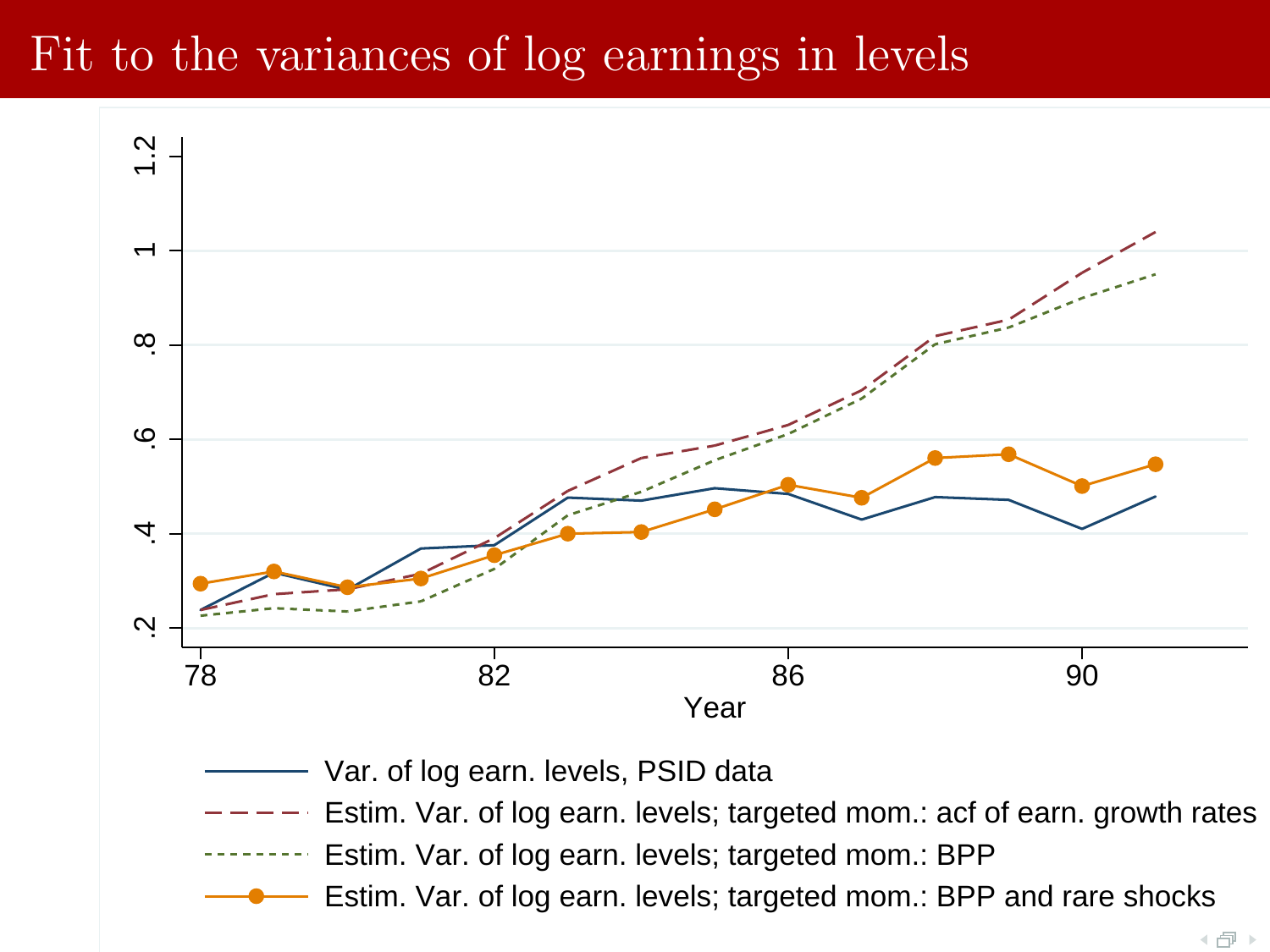### Fit to the variances of log earnings in levels

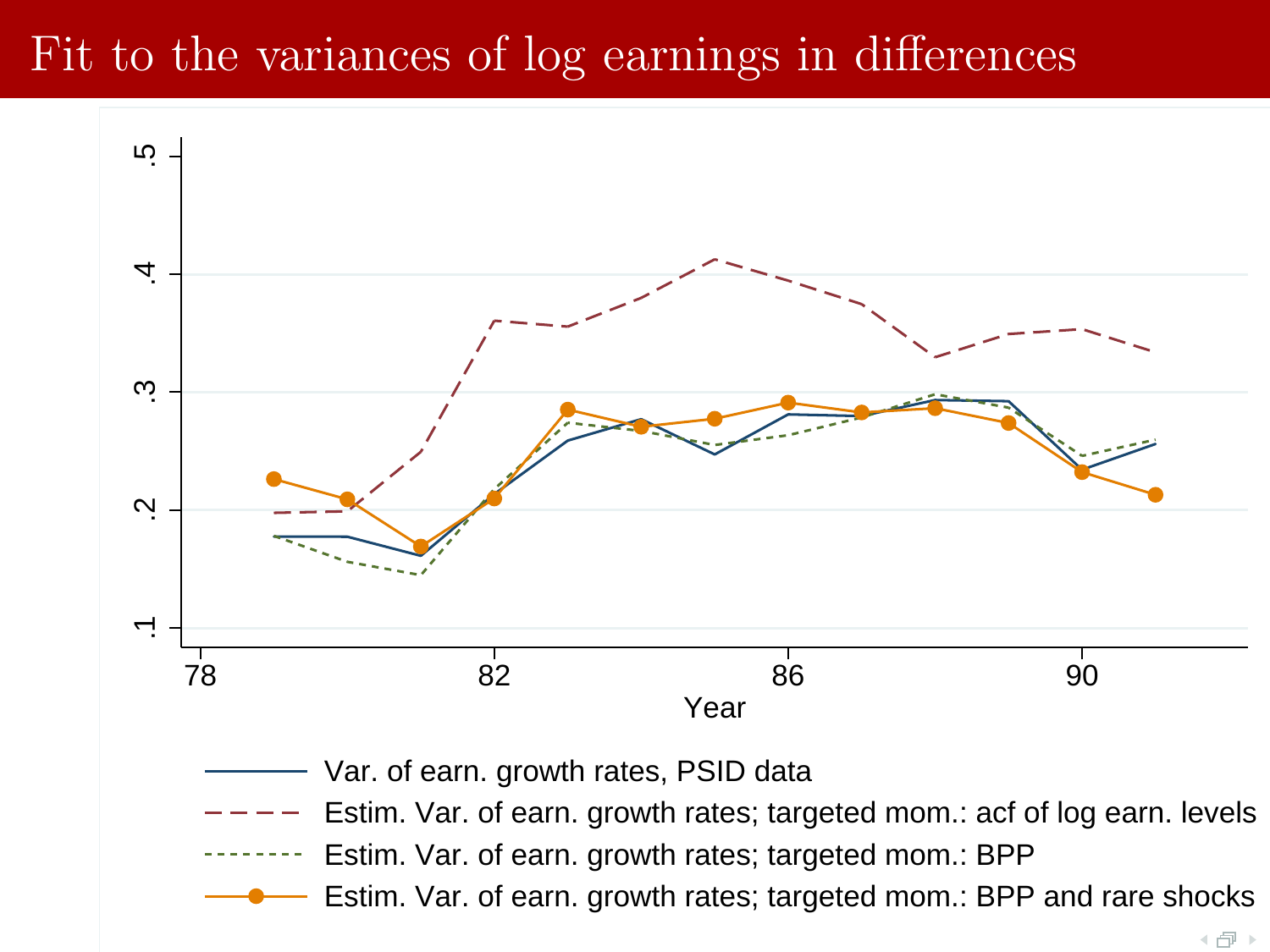## Fit to the variances of log earnings in differences

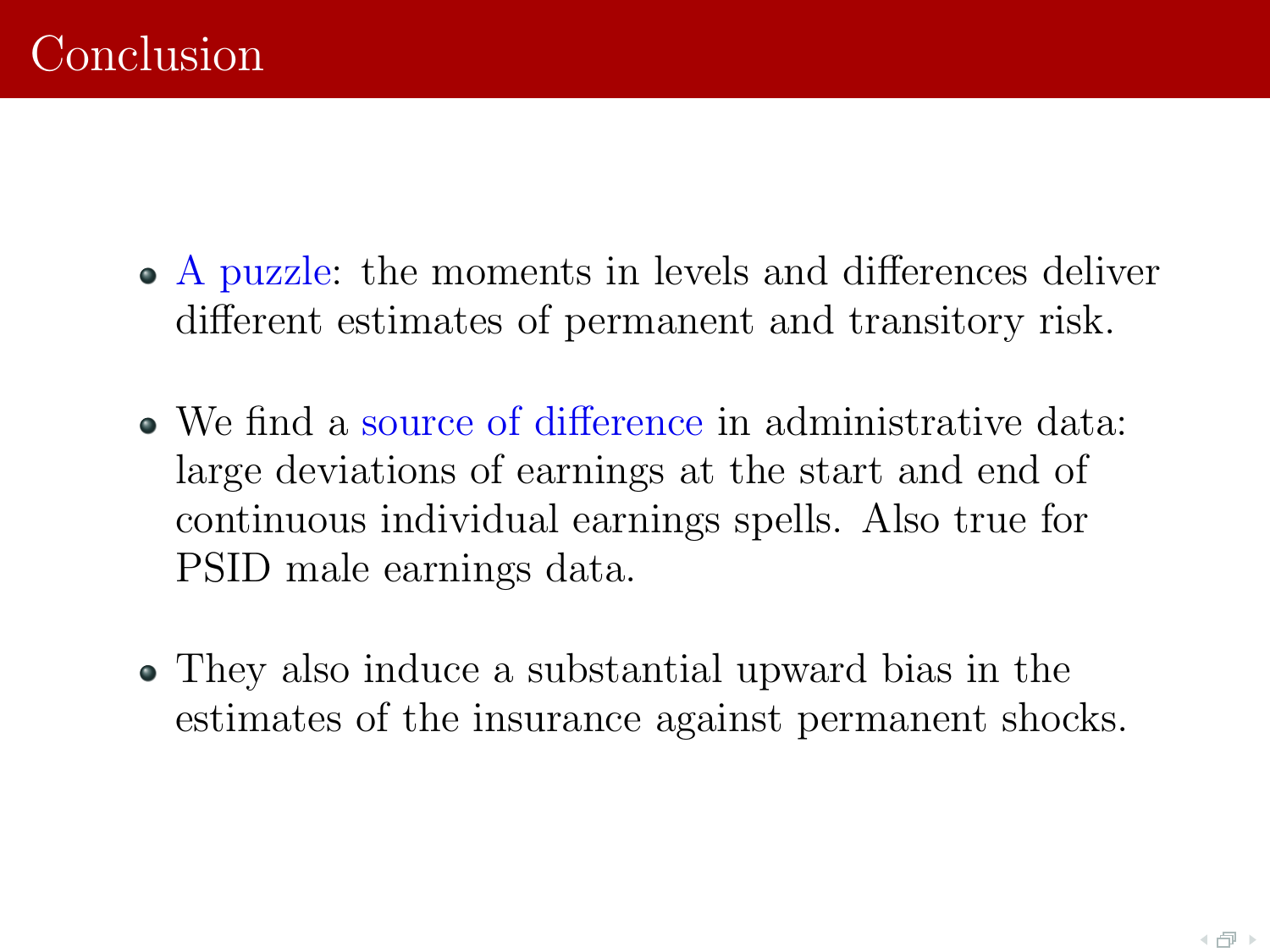- A puzzle: the moments in levels and differences deliver different estimates of permanent and transitory risk.
- We find a source of difference in administrative data: large deviations of earnings at the start and end of continuous individual earnings spells. Also true for PSID male earnings data.
- They also induce a substantial upward bias in the estimates of the insurance against permanent shocks.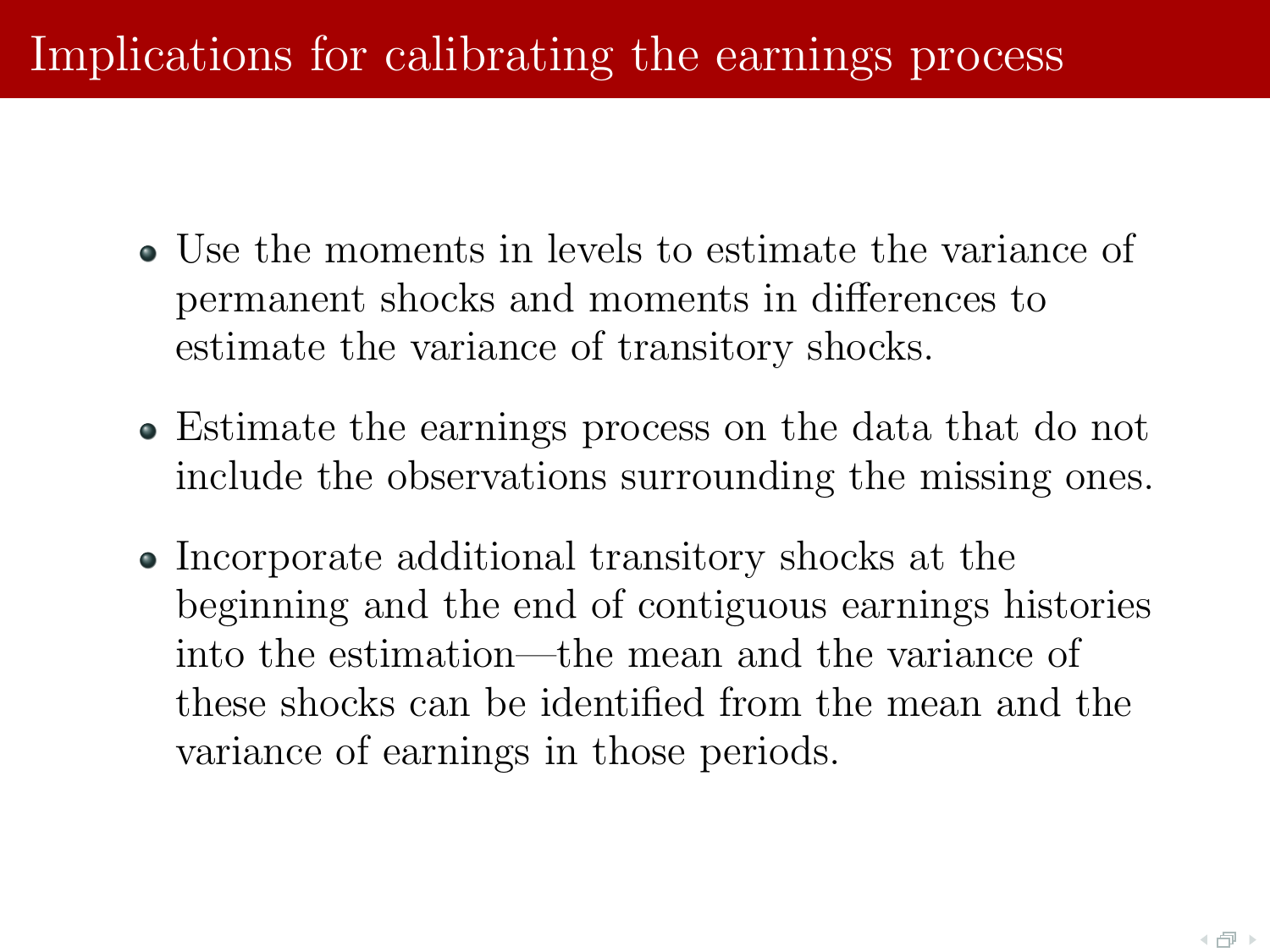# Implications for calibrating the earnings process

- Use the moments in levels to estimate the variance of permanent shocks and moments in differences to estimate the variance of transitory shocks.
- Estimate the earnings process on the data that do not include the observations surrounding the missing ones.
- Incorporate additional transitory shocks at the beginning and the end of contiguous earnings histories into the estimation—the mean and the variance of these shocks can be identified from the mean and the variance of earnings in those periods.